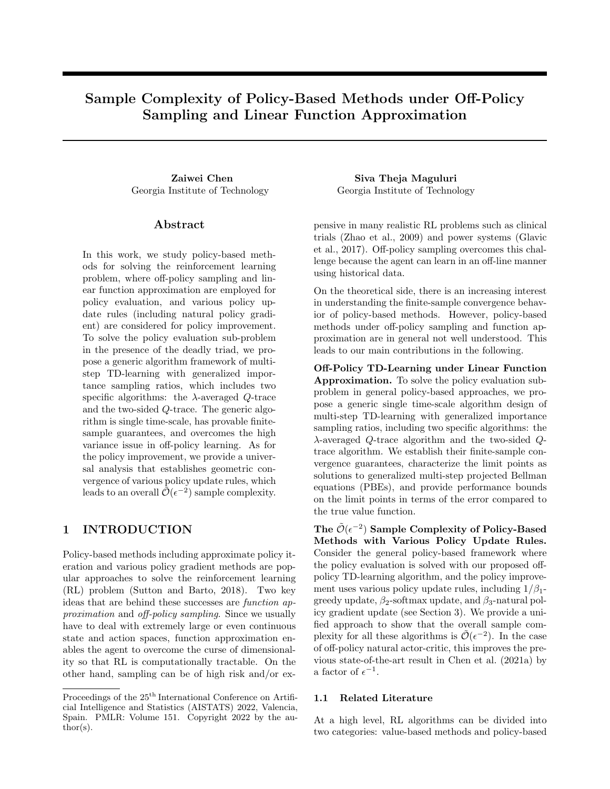# Sample Complexity of Policy-Based Methods under Off-Policy Sampling and Linear Function Approximation

Georgia Institute of Technology Georgia Institute of Technology

## Abstract

In this work, we study policy-based methods for solving the reinforcement learning problem, where off-policy sampling and linear function approximation are employed for policy evaluation, and various policy update rules (including natural policy gradient) are considered for policy improvement. To solve the policy evaluation sub-problem in the presence of the deadly triad, we propose a generic algorithm framework of multistep TD-learning with generalized importance sampling ratios, which includes two specific algorithms: the  $\lambda$ -averaged Q-trace and the two-sided Q-trace. The generic algorithm is single time-scale, has provable finitesample guarantees, and overcomes the high variance issue in off-policy learning. As for the policy improvement, we provide a universal analysis that establishes geometric convergence of various policy update rules, which leads to an overall  $\tilde{\mathcal{O}}(\epsilon^{-2})$  sample complexity.

## 1 INTRODUCTION

Policy-based methods including approximate policy iteration and various policy gradient methods are popular approaches to solve the reinforcement learning (RL) problem [\(Sutton and Barto,](#page-10-0) [2018\)](#page-10-0). Two key ideas that are behind these successes are function approximation and off-policy sampling. Since we usually have to deal with extremely large or even continuous state and action spaces, function approximation enables the agent to overcome the curse of dimensionality so that RL is computationally tractable. On the other hand, sampling can be of high risk and/or ex-

Zaiwei Chen Siva Theja Maguluri

pensive in many realistic RL problems such as clinical trials [\(Zhao et al.,](#page-10-1) [2009\)](#page-10-1) and power systems [\(Glavic](#page-9-0) [et al.,](#page-9-0) [2017\)](#page-9-0). Off-policy sampling overcomes this challenge because the agent can learn in an off-line manner using historical data.

On the theoretical side, there is an increasing interest in understanding the finite-sample convergence behavior of policy-based methods. However, policy-based methods under off-policy sampling and function approximation are in general not well understood. This leads to our main contributions in the following.

Off-Policy TD-Learning under Linear Function Approximation. To solve the policy evaluation subproblem in general policy-based approaches, we propose a generic single time-scale algorithm design of multi-step TD-learning with generalized importance sampling ratios, including two specific algorithms: the λ-averaged Q-trace algorithm and the two-sided Qtrace algorithm. We establish their finite-sample convergence guarantees, characterize the limit points as solutions to generalized multi-step projected Bellman equations (PBEs), and provide performance bounds on the limit points in terms of the error compared to the true value function.

The  $\tilde{\mathcal{O}}(\epsilon^{-2})$  Sample Complexity of Policy-Based Methods with Various Policy Update Rules. Consider the general policy-based framework where the policy evaluation is solved with our proposed offpolicy TD-learning algorithm, and the policy improvement uses various policy update rules, including  $1/\beta_1$ greedy update,  $\beta_2$ -softmax update, and  $\beta_3$ -natural policy gradient update (see Section [3\)](#page-5-0). We provide a unified approach to show that the overall sample complexity for all these algorithms is  $\tilde{\mathcal{O}}(\epsilon^{-2})$ . In the case of off-policy natural actor-critic, this improves the previous state-of-the-art result in [Chen et al.](#page-9-1) [\(2021a\)](#page-9-1) by a factor of  $\epsilon^{-1}$ .

#### 1.1 Related Literature

At a high level, RL algorithms can be divided into two categories: value-based methods and policy-based

Proceedings of the  $25^{\text{th}}$  International Conference on Artificial Intelligence and Statistics (AISTATS) 2022, Valencia, Spain. PMLR: Volume 151. Copyright 2022 by the au- $\text{thor}(s)$ .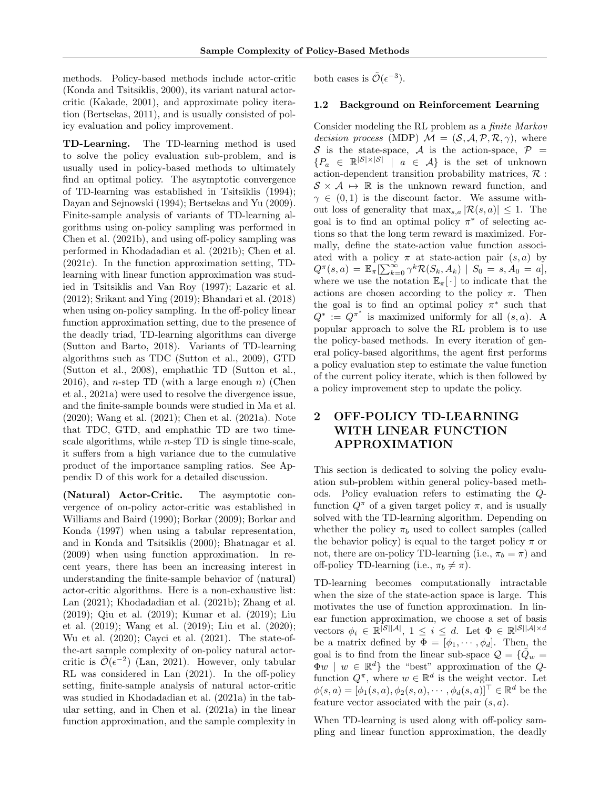methods. Policy-based methods include actor-critic [\(Konda and Tsitsiklis,](#page-9-2) [2000\)](#page-9-2), its variant natural actorcritic [\(Kakade,](#page-9-3) [2001\)](#page-9-3), and approximate policy iteration [\(Bertsekas,](#page-9-4) [2011\)](#page-9-4), and is usually consisted of policy evaluation and policy improvement.

TD-Learning. The TD-learning method is used to solve the policy evaluation sub-problem, and is usually used in policy-based methods to ultimately find an optimal policy. The asymptotic convergence of TD-learning was established in [Tsitsiklis](#page-10-2) [\(1994\)](#page-10-2); [Dayan and Sejnowski](#page-9-5) [\(1994\)](#page-9-5); [Bertsekas and Yu](#page-9-6) [\(2009\)](#page-9-6). Finite-sample analysis of variants of TD-learning algorithms using on-policy sampling was performed in [Chen et al.](#page-9-7) [\(2021b\)](#page-9-7), and using off-policy sampling was performed in [Khodadadian et al.](#page-9-8) [\(2021b\)](#page-9-8); [Chen et al.](#page-9-9) [\(2021c\)](#page-9-9). In the function approximation setting, TDlearning with linear function approximation was studied in [Tsitsiklis and Van Roy](#page-10-3) [\(1997\)](#page-10-3); [Lazaric et al.](#page-9-10) [\(2012\)](#page-9-10); [Srikant and Ying](#page-10-4) [\(2019\)](#page-10-4); [Bhandari et al.](#page-9-11) [\(2018\)](#page-9-11) when using on-policy sampling. In the off-policy linear function approximation setting, due to the presence of the deadly triad, TD-learning algorithms can diverge [\(Sutton and Barto,](#page-10-0) [2018\)](#page-10-0). Variants of TD-learning algorithms such as TDC [\(Sutton et al.,](#page-10-5) [2009\)](#page-10-5), GTD [\(Sutton et al.,](#page-10-6) [2008\)](#page-10-6), emphathic TD [\(Sutton et al.,](#page-10-7) [2016\)](#page-10-7), and *n*-step TD (with a large enough *n*) [\(Chen](#page-9-1) [et al.,](#page-9-1) [2021a\)](#page-9-1) were used to resolve the divergence issue, and the finite-sample bounds were studied in [Ma et al.](#page-10-8) [\(2020\)](#page-10-8); [Wang et al.](#page-10-9) [\(2021\)](#page-10-9); [Chen et al.](#page-9-1) [\(2021a\)](#page-9-1). Note that TDC, GTD, and emphathic TD are two timescale algorithms, while  $n$ -step TD is single time-scale, it suffers from a high variance due to the cumulative product of the importance sampling ratios. See Appendix [D](#page-19-0) of this work for a detailed discussion.

(Natural) Actor-Critic. The asymptotic convergence of on-policy actor-critic was established in [Williams and Baird](#page-10-10) [\(1990\)](#page-10-10); [Borkar](#page-9-12) [\(2009\)](#page-9-12); [Borkar and](#page-9-13) [Konda](#page-9-13) [\(1997\)](#page-9-13) when using a tabular representation, and in [Konda and Tsitsiklis](#page-9-2) [\(2000\)](#page-9-2); [Bhatnagar et al.](#page-9-14) [\(2009\)](#page-9-14) when using function approximation. In recent years, there has been an increasing interest in understanding the finite-sample behavior of (natural) actor-critic algorithms. Here is a non-exhaustive list: [Lan](#page-9-15) [\(2021\)](#page-9-15); [Khodadadian et al.](#page-9-8) [\(2021b\)](#page-9-8); [Zhang et al.](#page-10-11) [\(2019\)](#page-10-11); [Qiu et al.](#page-10-12) [\(2019\)](#page-10-12); [Kumar et al.](#page-9-16) [\(2019\)](#page-9-16); [Liu](#page-10-13) [et al.](#page-10-13) [\(2019\)](#page-10-13); [Wang et al.](#page-10-14) [\(2019\)](#page-10-14); [Liu et al.](#page-10-15) [\(2020\)](#page-10-15); [Wu et al.](#page-10-16) [\(2020\)](#page-10-16); [Cayci et al.](#page-9-17) [\(2021\)](#page-9-17). The state-ofthe-art sample complexity of on-policy natural actorcritic is  $\tilde{\mathcal{O}}(\epsilon^{-2})$  [\(Lan,](#page-9-15) [2021\)](#page-9-15). However, only tabular RL was considered in [Lan](#page-9-15) [\(2021\)](#page-9-15). In the off-policy setting, finite-sample analysis of natural actor-critic was studied in [Khodadadian et al.](#page-9-18) [\(2021a\)](#page-9-18) in the tabular setting, and in [Chen et al.](#page-9-1) [\(2021a\)](#page-9-1) in the linear function approximation, and the sample complexity in

both cases is  $\tilde{\mathcal{O}}(\epsilon^{-3})$ .

### 1.2 Background on Reinforcement Learning

Consider modeling the RL problem as a finite Markov *decision process* (MDP)  $\mathcal{M} = (\mathcal{S}, \mathcal{A}, \mathcal{P}, \mathcal{R}, \gamma)$ , where S is the state-space, A is the action-space,  $P =$  ${P_a \in \mathbb{R}^{\vert \mathcal{S} \vert \times \vert \mathcal{S} \vert} \vert a \in \mathcal{A}}$  is the set of unknown action-dependent transition probability matrices,  $\mathcal{R}$ :  $S \times A \rightarrow \mathbb{R}$  is the unknown reward function, and  $\gamma \in (0,1)$  is the discount factor. We assume without loss of generality that  $\max_{s,a} |\mathcal{R}(s,a)| \leq 1$ . The goal is to find an optimal policy  $\pi^*$  of selecting actions so that the long term reward is maximized. Formally, define the state-action value function associated with a policy  $\pi$  at state-action pair  $(s, a)$  by  $Q^{\pi}(s, a) \, = \, \mathbb{E}_{\pi}[\sum_{k=0}^{\infty} \gamma^k \mathcal{R}(S_k, A_k) \, \mid \, S_0 \, = \, s, A_0 \, = \, a],$ where we use the notation  $\mathbb{E}_{\pi}[\cdot]$  to indicate that the actions are chosen according to the policy  $\pi$ . Then the goal is to find an optimal policy  $\pi^*$  such that  $Q^* := Q^{\pi^*}$  is maximized uniformly for all  $(s, a)$ . A popular approach to solve the RL problem is to use the policy-based methods. In every iteration of general policy-based algorithms, the agent first performs a policy evaluation step to estimate the value function of the current policy iterate, which is then followed by a policy improvement step to update the policy.

# <span id="page-1-0"></span>2 OFF-POLICY TD-LEARNING WITH LINEAR FUNCTION APPROXIMATION

This section is dedicated to solving the policy evaluation sub-problem within general policy-based methods. Policy evaluation refers to estimating the Qfunction  $Q^{\pi}$  of a given target policy  $\pi$ , and is usually solved with the TD-learning algorithm. Depending on whether the policy  $\pi_b$  used to collect samples (called the behavior policy) is equal to the target policy  $\pi$  or not, there are on-policy TD-learning (i.e.,  $\pi_b = \pi$ ) and off-policy TD-learning (i.e.,  $\pi_b \neq \pi$ ).

TD-learning becomes computationally intractable when the size of the state-action space is large. This motivates the use of function approximation. In linear function approximation, we choose a set of basis vectors  $\phi_i \in \mathbb{R}^{|\mathcal{S}||\mathcal{A}|}, 1 \leq i \leq d$ . Let  $\Phi \in \mathbb{R}^{|\mathcal{S}||\mathcal{A}|\times d}$ be a matrix defined by  $\Phi = [\phi_1, \cdots, \phi_d]$ . Then, the goal is to find from the linear sub-space  $\mathcal{Q} = \{ \hat{Q}_w =$  $\Phi w \mid w \in \mathbb{R}^d$  the "best" approximation of the Qfunction  $Q^{\pi}$ , where  $w \in \mathbb{R}^d$  is the weight vector. Let  $\phi(s, a) = [\phi_1(s, a), \phi_2(s, a), \cdots, \phi_d(s, a)]^\top \in \mathbb{R}^d$  be the feature vector associated with the pair  $(s, a)$ .

When TD-learning is used along with off-policy sampling and linear function approximation, the deadly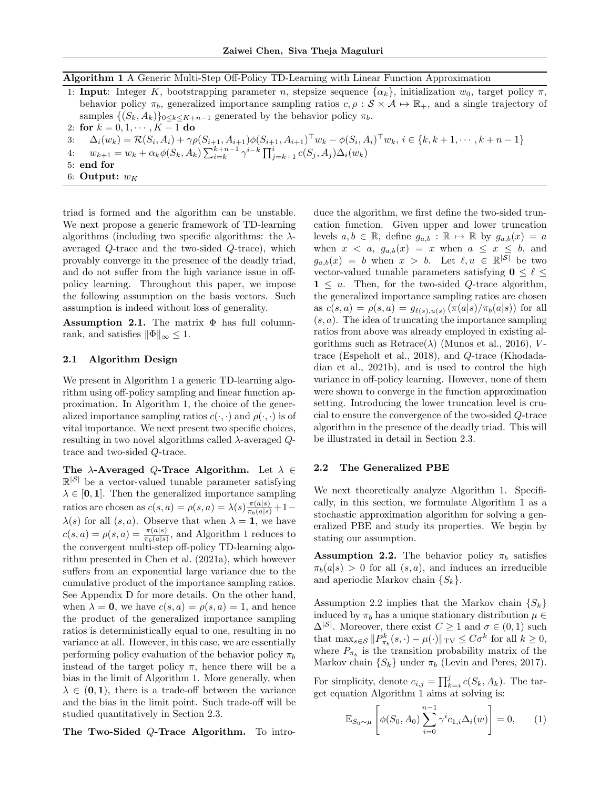Algorithm 1 A Generic Multi-Step Off-Policy TD-Learning with Linear Function Approximation

<span id="page-2-0"></span>

| 1: Input: Integer K, bootstrapping parameter n, stepsize sequence $\{\alpha_k\}$ , initialization $w_0$ , target policy $\pi$ ,                               |
|---------------------------------------------------------------------------------------------------------------------------------------------------------------|
| behavior policy $\pi_b$ , generalized importance sampling ratios $c, \rho : \mathcal{S} \times \mathcal{A} \mapsto \mathbb{R}_+$ , and a single trajectory of |
| samples $\{(S_k, A_k)\}_{0 \leq k \leq K+n-1}$ generated by the behavior policy $\pi_b$ .                                                                     |
| 2: for $k = 0, 1, \cdots, K - 1$ do                                                                                                                           |

3: 
$$
\Delta_i(w_k) = \mathcal{R}(S_i, A_i) + \gamma \rho(S_{i+1}, A_{i+1}) \phi(S_{i+1}, A_{i+1})^\top w_k - \phi(S_i, A_i)^\top w_k, i \in \{k, k+1, \dots, k+n-1\}
$$

- 4:  $w_{k+1} = w_k + \alpha_k \phi(S_k, A_k) \sum_{i=k}^{k+n-1} \gamma^{i-k} \prod_{j=k+1}^{i} c(S_j, A_j) \Delta_i(w_k)$
- 5: end for
- 6: Output:  $w_K$

triad is formed and the algorithm can be unstable. We next propose a generic framework of TD-learning algorithms (including two specific algorithms: the  $\lambda$ averaged Q-trace and the two-sided Q-trace), which provably converge in the presence of the deadly triad, and do not suffer from the high variance issue in offpolicy learning. Throughout this paper, we impose the following assumption on the basis vectors. Such assumption is indeed without loss of generality.

<span id="page-2-3"></span>Assumption 2.1. The matrix  $\Phi$  has full columnrank, and satisfies  $||\Phi||_{\infty} \leq 1$ .

#### 2.1 Algorithm Design

We present in Algorithm [1](#page-2-0) a generic TD-learning algorithm using off-policy sampling and linear function approximation. In Algorithm [1,](#page-2-0) the choice of the generalized importance sampling ratios  $c(\cdot, \cdot)$  and  $\rho(\cdot, \cdot)$  is of vital importance. We next present two specific choices, resulting in two novel algorithms called  $\lambda$ -averaged  $Q$ trace and two-sided Q-trace.

The  $\lambda$ -Averaged Q-Trace Algorithm. Let  $\lambda \in$  $\mathbb{R}^{|S|}$  be a vector-valued tunable parameter satisfying  $\lambda \in [0, 1]$ . Then the generalized importance sampling ratios are chosen as  $c(s, a) = \rho(s, a) = \lambda(s) \frac{\pi(a|s)}{\pi_b(a|s)} + 1 \lambda(s)$  for all  $(s, a)$ . Observe that when  $\lambda = 1$ , we have  $c(s, a) = \rho(s, a) = \frac{\pi(a|s)}{\pi_b(a|s)}$ , and Algorithm [1](#page-2-0) reduces to the convergent multi-step off-policy TD-learning algorithm presented in [Chen et al.](#page-9-1) [\(2021a\)](#page-9-1), which however suffers from an exponential large variance due to the cumulative product of the importance sampling ratios. See Appendix [D](#page-19-0) for more details. On the other hand, when  $\lambda = 0$ , we have  $c(s, a) = \rho(s, a) = 1$ , and hence the product of the generalized importance sampling ratios is deterministically equal to one, resulting in no variance at all. However, in this case, we are essentially performing policy evaluation of the behavior policy  $\pi_b$ instead of the target policy  $\pi$ , hence there will be a bias in the limit of Algorithm [1.](#page-2-0) More generally, when  $\lambda \in (0, 1)$ , there is a trade-off between the variance and the bias in the limit point. Such trade-off will be studied quantitatively in Section [2.3.](#page-4-0)

The Two-Sided Q-Trace Algorithm. To intro-

duce the algorithm, we first define the two-sided truncation function. Given upper and lower truncation levels  $a, b \in \mathbb{R}$ , define  $g_{a,b} : \mathbb{R} \mapsto \mathbb{R}$  by  $g_{a,b}(x) = a$ when  $x < a$ ,  $g_{a,b}(x) = x$  when  $a \leq x \leq b$ , and  $g_{a,b}(x) = b$  when  $x > b$ . Let  $\ell, u \in \mathbb{R}^{|S|}$  be two vector-valued tunable parameters satisfying  $0 \leq \ell \leq$  $1 \leq u$ . Then, for the two-sided Q-trace algorithm, the generalized importance sampling ratios are chosen as  $c(s, a) = \rho(s, a) = g_{\ell(s), u(s)}(\pi(a|s)/\pi_b(a|s))$  for all  $(s, a)$ . The idea of truncating the importance sampling ratios from above was already employed in existing algorithms such as  $Retrace(\lambda)$  [\(Munos et al.,](#page-10-17) [2016\)](#page-10-17), Vtrace [\(Espeholt et al.,](#page-9-19) [2018\)](#page-9-19), and Q-trace [\(Khodada](#page-9-8)[dian et al.,](#page-9-8) [2021b\)](#page-9-8), and is used to control the high variance in off-policy learning. However, none of them were shown to converge in the function approximation setting. Introducing the lower truncation level is crucial to ensure the convergence of the two-sided Q-trace algorithm in the presence of the deadly triad. This will be illustrated in detail in Section [2.3.](#page-4-0)

#### 2.2 The Generalized PBE

We next theoretically analyze Algorithm [1.](#page-2-0) Specifically, in this section, we formulate Algorithm [1](#page-2-0) as a stochastic approximation algorithm for solving a generalized PBE and study its properties. We begin by stating our assumption.

<span id="page-2-1"></span>**Assumption 2.2.** The behavior policy  $\pi_b$  satisfies  $\pi_b(a|s) > 0$  for all  $(s, a)$ , and induces an irreducible and aperiodic Markov chain  $\{S_k\}.$ 

Assumption [2.2](#page-2-1) implies that the Markov chain  $\{S_k\}$ induced by  $\pi_b$  has a unique stationary distribution  $\mu \in$  $\Delta^{|\mathcal{S}|}$ . Moreover, there exist  $C \geq 1$  and  $\sigma \in (0,1)$  such that  $\max_{s \in \mathcal{S}} \| P_{\pi_b}^k(s, \cdot) - \mu(\cdot) \|_{\text{TV}} \leq C \sigma^k$  for all  $k \geq 0$ , where  $P_{\pi_b}$  is the transition probability matrix of the Markov chain  $\{S_k\}$  under  $\pi_b$  [\(Levin and Peres,](#page-10-18) [2017\)](#page-10-18).

For simplicity, denote  $c_{i,j} = \prod_{k=i}^{j} c(S_k, A_k)$ . The target equation Algorithm [1](#page-2-0) aims at solving is:

<span id="page-2-2"></span>
$$
\mathbb{E}_{S_0 \sim \mu} \left[ \phi(S_0, A_0) \sum_{i=0}^{n-1} \gamma^i c_{1,i} \Delta_i(w) \right] = 0, \qquad (1)
$$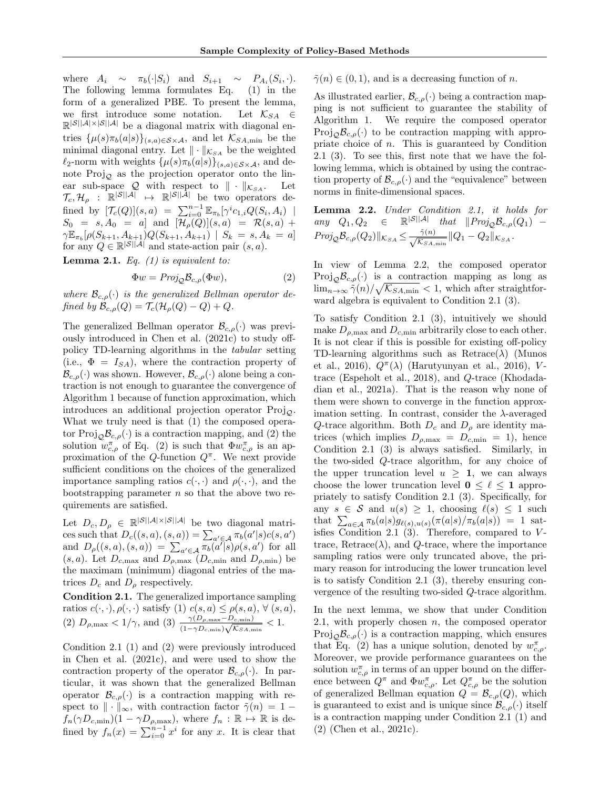where  $A_i \sim \pi_b(\cdot|S_i)$  and  $S_{i+1} \sim P_{A_i}(S_i,\cdot)$ . The following lemma formulates Eq. [\(1\)](#page-2-2) in the form of a generalized PBE. To present the lemma, we first introduce some notation. Let  $\mathcal{K}_{SA} \in$  $\mathbb{R}^{\mathcal{S} \mid \mathcal{A} \mid \times \mathcal{S} \mid \mathcal{A} \mid}$  be a diagonal matrix with diagonal entries  $\{\mu(s)\pi_b(a|s)\}_{(s,a)\in\mathcal{S}\times\mathcal{A}}$ , and let  $\mathcal{K}_{SA,min}$  be the minimal diagonal entry. Let  $\|\cdot\|_{\mathcal{K}_{SA}}$  be the weighted  $\ell_2$ -norm with weights  $\{\mu(s)\pi_b(a|s)\}_{(s,a)\in\mathcal{S}\times\mathcal{A}}$ , and denote  $\text{Proj}_{\mathcal{Q}}$  as the projection operator onto the linear sub-space  $\mathcal{Q}$  with respect to  $\|\cdot\|_{\mathcal{K}_{SA}}$ . Let  $\mathcal{T}_c, \mathcal{H}_\rho$  :  $\mathbb{R}^{\mathcal{|S||A|}} \mapsto \mathbb{R}^{\mathcal{|S||A|}}$  be two operators defined by  $[\mathcal{T}_c(Q)](s, a) = \sum_{i=0}^{n-1} \mathbb{E}_{\pi_b}[\gamma^i c_{1,i} Q(S_i, A_i)]$  $S_0 = s, A_0 = a$  and  $[\mathcal{H}_\rho(Q)](s, a) = \mathcal{R}(s, a) +$  $\gamma \mathbb{E}_{\pi_b}[\rho(S_{k+1},A_{k+1})Q(S_{k+1},A_{k+1}) \mid S_k \, = \, s, A_k \, = \, a]$ for any  $Q \in \mathbb{R}^{|\mathcal{S}||\mathcal{A}|}$  and state-action pair  $(s, a)$ .

<span id="page-3-3"></span>**Lemma 2.1.** Eq.  $(1)$  is equivalent to:

$$
\Phi w = Proj_{\mathcal{Q}} \mathcal{B}_{c,\rho}(\Phi w),\tag{2}
$$

where  $\mathcal{B}_{c,\rho}(\cdot)$  is the generalized Bellman operator defined by  $\mathcal{B}_{c,\rho}(Q) = \mathcal{T}_c(\mathcal{H}_\rho(Q) - Q) + Q$ .

The generalized Bellman operator  $\mathcal{B}_{c,\rho}(\cdot)$  was previously introduced in [Chen et al.](#page-9-9) [\(2021c\)](#page-9-9) to study offpolicy TD-learning algorithms in the tabular setting (i.e.,  $\Phi = I_{SA}$ ), where the contraction property of  $\mathcal{B}_{c,\rho}(\cdot)$  was shown. However,  $\mathcal{B}_{c,\rho}(\cdot)$  alone being a contraction is not enough to guarantee the convergence of Algorithm [1](#page-2-0) because of function approximation, which introduces an additional projection operator  $Proj_{\mathcal{O}}$ . What we truly need is that (1) the composed operator  $\text{Proj}_{\mathcal{Q}} \mathcal{B}_{c,\rho}(\cdot)$  is a contraction mapping, and (2) the solution  $w_{c,\rho}^{\pi}$  of Eq. [\(2\)](#page-3-0) is such that  $\Phi w_{c,\rho}^{\pi}$  is an approximation of the Q-function  $Q^{\pi}$ . We next provide sufficient conditions on the choices of the generalized importance sampling ratios  $c(\cdot, \cdot)$  and  $\rho(\cdot, \cdot)$ , and the bootstrapping parameter  $n$  so that the above two requirements are satisfied.

Let  $D_c, D_\rho \in \mathbb{R}^{|\mathcal{S}||\mathcal{A}|\times |\mathcal{S}||\mathcal{A}|}$  be two diagonal matrices such that  $D_c((s, a), (s, a)) = \sum_{a' \in A} \pi_b(a'|s)c(s, a')$ and  $D_{\rho}((s, a), (s, a)) = \sum_{a' \in A} \pi_b(a'|s) \rho(s, a')$  for all  $(s, a)$ . Let  $D_{c,\text{max}}$  and  $D_{\rho,\text{max}}$   $(D_{c,\text{min}}$  and  $D_{\rho,\text{min}}$  be the maximam (minimum) diagonal entries of the matrices  $D_c$  and  $D_\rho$  respectively.

<span id="page-3-1"></span>Condition 2.1. The generalized importance sampling ratios  $c(\cdot, \cdot), \rho(\cdot, \cdot)$  satisfy  $(1)$   $c(s, a) \leq \rho(s, a), \forall (s, a),$ (2)  $D_{\rho, \max} < 1/\gamma$ , and (3)  $\frac{\gamma(D_{\rho, \max} - D_{c, \min})}{(1 - \gamma D_{c, \min}) \sqrt{\mathcal{K}} S A, \min} < 1$ .

Condition [2.1](#page-3-1) (1) and (2) were previously introduced in [Chen et al.](#page-9-9) [\(2021c\)](#page-9-9), and were used to show the contraction property of the operator  $\mathcal{B}_{c,\rho}(\cdot)$ . In particular, it was shown that the generalized Bellman operator  $\mathcal{B}_{c,\rho}(\cdot)$  is a contraction mapping with respect to  $\|\cdot\|_{\infty}$ , with contraction factor  $\tilde{\gamma}(n) = 1$  $f_n(\gamma D_{c,\min})(1 - \gamma D_{\rho,\max}),$  where  $f_n : \mathbb{R} \to \mathbb{R}$  is defined by  $f_n(x) = \sum_{i=0}^{n-1} x^i$  for any x. It is clear that

 $\tilde{\gamma}(n) \in (0, 1)$ , and is a decreasing function of n.

As illustrated earlier,  $\mathcal{B}_{c,\rho}(\cdot)$  being a contraction mapping is not sufficient to guarantee the stability of Algorithm [1.](#page-2-0) We require the composed operator  $\text{Proj}_{\mathcal{O}}\mathcal{B}_{c,\rho}(\cdot)$  to be contraction mapping with appropriate choice of n. This is guaranteed by Condition [2.1](#page-3-1) (3). To see this, first note that we have the following lemma, which is obtained by using the contraction property of  $\mathcal{B}_{c,\rho}(\cdot)$  and the "equivalence" between norms in finite-dimensional spaces.

<span id="page-3-2"></span>Lemma 2.2. Under Condition [2.1,](#page-3-1) it holds for any  $Q_1, Q_2 \in \mathbb{R}^{|S||\mathcal{A}|}$  that  $||Proj_{\mathcal{Q}}\mathcal{B}_{c,\rho}(Q_1) Proj_{\mathcal{Q}}\mathcal{B}_{c,\rho}(Q_2)||_{\mathcal{K}_{SA}} \leq \frac{\tilde{\gamma}(n)}{\sqrt{\tilde{K}_{\tilde{\gamma}+1}}}$  $\frac{\gamma(n)}{\mathcal{K}_{SA,\min}}\|Q_1-Q_2\|_{\mathcal{K}_{SA}}.$ 

<span id="page-3-0"></span>In view of Lemma [2.2,](#page-3-2) the composed operator Proj<sub> $\mathcal{O}B_{c,\rho}(\cdot)$ </sub> is a contraction mapping as long as  $\lim_{n\to\infty} \tilde{\gamma}(n)/\sqrt{\mathcal{K}_{SA,\min}} < 1$ , which after straightforward algebra is equivalent to Condition [2.1](#page-3-1) (3).

To satisfy Condition [2.1](#page-3-1) (3), intuitively we should make  $D_{\rho,\text{max}}$  and  $D_{c,\text{min}}$  arbitrarily close to each other. It is not clear if this is possible for existing off-policy TD-learning algorithms such as  $Retrace(\lambda)$  [\(Munos](#page-10-17) [et al.,](#page-10-17) [2016\)](#page-9-20),  $Q^{\pi}(\lambda)$  [\(Harutyunyan et al.,](#page-9-20) 2016), Vtrace [\(Espeholt et al.,](#page-9-19) [2018\)](#page-9-19), and Q-trace [\(Khodada](#page-9-18)[dian et al.,](#page-9-18) [2021a\)](#page-9-18). That is the reason why none of them were shown to converge in the function approximation setting. In contrast, consider the  $\lambda$ -averaged Q-trace algorithm. Both  $D_c$  and  $D_\rho$  are identity matrices (which implies  $D_{\rho,\text{max}} = D_{c,\text{min}} = 1$ ), hence Condition [2.1](#page-3-1) (3) is always satisfied. Similarly, in the two-sided Q-trace algorithm, for any choice of the upper truncation level  $u > 1$ , we can always choose the lower truncation level  $0 \leq \ell \leq 1$  appropriately to satisfy Condition [2.1](#page-3-1) (3). Specifically, for any  $s \in \mathcal{S}$  and  $u(s) \geq 1$ , choosing  $\ell(s) \leq 1$  such that  $\sum_{a \in A} \pi_b(a|s) g_{\ell(s),u(s)}(\pi(a|s)/\pi_b(a|s)) = 1$  sat-isfies Condition [2.1](#page-3-1)  $(3)$ . Therefore, compared to Vtrace, Retrace( $\lambda$ ), and Q-trace, where the importance sampling ratios were only truncated above, the primary reason for introducing the lower truncation level is to satisfy Condition [2.1](#page-3-1) (3), thereby ensuring convergence of the resulting two-sided Q-trace algorithm.

In the next lemma, we show that under Condition [2.1,](#page-3-1) with properly chosen  $n$ , the composed operator  $\text{Proj}_{\mathcal{Q}}\mathcal{B}_{c,\rho}(\cdot)$  is a contraction mapping, which ensures that Eq. [\(2\)](#page-3-0) has a unique solution, denoted by  $w_{c,\rho}^{\pi}$ . Moreover, we provide performance guarantees on the solution  $w_{c,\rho}^{\pi}$  in terms of an upper bound on the difference between  $Q^{\pi}$  and  $\Phi w_{c,\rho}^{\pi}$ . Let  $Q_{c,\rho}^{\pi}$  be the solution of generalized Bellman equation  $Q = \mathcal{B}_{c,\rho}(Q)$ , which is guaranteed to exist and is unique since  $\mathcal{B}_{c,\rho}(\cdot)$  itself is a contraction mapping under Condition [2.1](#page-3-1) (1) and (2) [\(Chen et al.,](#page-9-9) [2021c\)](#page-9-9).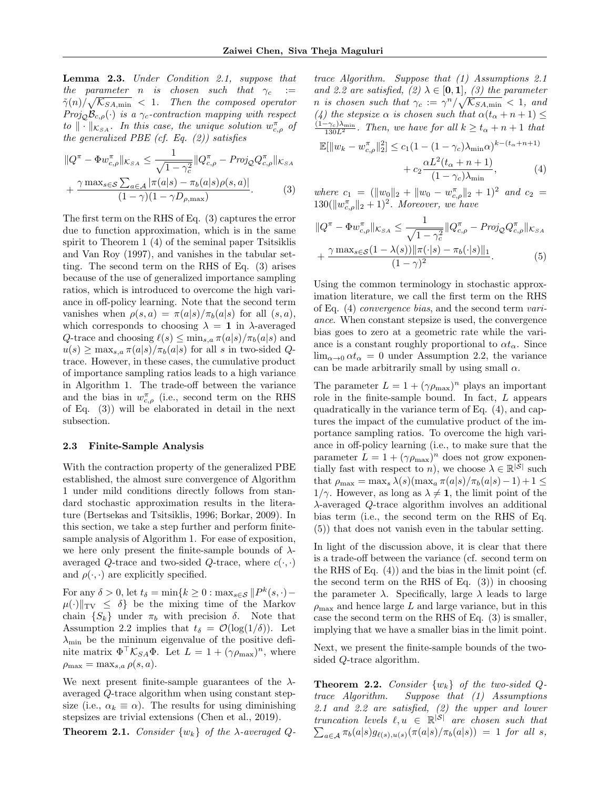<span id="page-4-6"></span>Lemma 2.3. Under Condition [2.1,](#page-3-1) suppose that the parameter n is chosen such that  $\gamma_c :=$  $\tilde{\gamma}(n)/\sqrt{\mathcal{K}_{SA,\min}}$  < 1. Then the composed operator  $Proj_{\mathcal{O}}\mathcal{B}_{c,\rho}(\cdot)$  is a  $\gamma_c$ -contraction mapping with respect to  $\|\cdot\|_{\mathcal{K}_{SA}}$ . In this case, the unique solution  $w_{c,\rho}^{\pi}$  of the generalized PBE (cf. Eq.  $(2)$ ) satisfies

$$
||Q^{\pi} - \Phi w_{c,\rho}^{\pi}||_{\mathcal{K}_{SA}} \le \frac{1}{\sqrt{1 - \gamma_c^2}} ||Q_{c,\rho}^{\pi} - \text{Proj}_{\mathcal{Q}} Q_{c,\rho}^{\pi}||_{\mathcal{K}_{SA}} + \frac{\gamma \max_{s \in \mathcal{S}} \sum_{a \in \mathcal{A}} |\pi(a|s) - \pi_b(a|s)\rho(s,a)|}{(1 - \gamma)(1 - \gamma D_{\rho,\text{max}})}.
$$
 (3)

The first term on the RHS of Eq. [\(3\)](#page-4-1) captures the error due to function approximation, which is in the same spirit to Theorem 1 (4) of the seminal paper [Tsitsiklis](#page-10-3) [and Van Roy](#page-10-3) [\(1997\)](#page-10-3), and vanishes in the tabular setting. The second term on the RHS of Eq. [\(3\)](#page-4-1) arises because of the use of generalized importance sampling ratios, which is introduced to overcome the high variance in off-policy learning. Note that the second term vanishes when  $\rho(s, a) = \pi(a|s)/\pi_b(a|s)$  for all  $(s, a)$ , which corresponds to choosing  $\lambda = 1$  in  $\lambda$ -averaged Q-trace and choosing  $\ell(s) \leq \min_{s,a} \pi(a|s)/\pi_b(a|s)$  and  $u(s) \geq \max_{s,a} \pi(a|s)/\pi_b(a|s)$  for all s in two-sided Qtrace. However, in these cases, the cumulative product of importance sampling ratios leads to a high variance in Algorithm [1.](#page-2-0) The trade-off between the variance and the bias in  $w_{c,\rho}^{\pi}$  (i.e., second term on the RHS of Eq. [\(3\)](#page-4-1)) will be elaborated in detail in the next subsection.

#### <span id="page-4-0"></span>2.3 Finite-Sample Analysis

With the contraction property of the generalized PBE established, the almost sure convergence of Algorithm [1](#page-2-0) under mild conditions directly follows from standard stochastic approximation results in the literature [\(Bertsekas and Tsitsiklis,](#page-9-21) [1996;](#page-9-21) [Borkar,](#page-9-12) [2009\)](#page-9-12). In this section, we take a step further and perform finitesample analysis of Algorithm [1.](#page-2-0) For ease of exposition, we here only present the finite-sample bounds of  $\lambda$ averaged Q-trace and two-sided Q-trace, where  $c(\cdot, \cdot)$ and  $\rho(\cdot, \cdot)$  are explicitly specified.

For any  $\delta > 0$ , let  $t_{\delta} = \min\{k \ge 0 : \max_{s \in \mathcal{S}} ||P^k(s, \cdot) \mu(\cdot)\|_{TV} \leq \delta$  be the mixing time of the Markov chain  $\{S_k\}$  under  $\pi_b$  with precision  $\delta$ . Note that Assumption [2.2](#page-2-1) implies that  $t_{\delta} = \mathcal{O}(\log(1/\delta))$ . Let  $\lambda_{\min}$  be the mininum eigenvalue of the positive definite matrix  $\Phi^{\top} \mathcal{K}_{SA} \Phi$ . Let  $L = 1 + (\gamma \rho_{\text{max}})^n$ , where  $\rho_{\text{max}} = \max_{s,a} \rho(s,a).$ 

We next present finite-sample guarantees of the  $\lambda$ averaged Q-trace algorithm when using constant stepsize (i.e.,  $\alpha_k \equiv \alpha$ ). The results for using diminishing stepsizes are trivial extensions [\(Chen et al.,](#page-9-22) [2019\)](#page-9-22).

<span id="page-4-5"></span>**Theorem 2.1.** Consider  $\{w_k\}$  of the  $\lambda$ -averaged  $Q$ -

trace Algorithm. Suppose that (1) Assumptions [2.1](#page-2-3) and [2.2](#page-2-1) are satisfied, (2)  $\lambda \in [0,1]$ , (3) the parameter n is chosen such that  $\gamma_c := \gamma^n/\sqrt{\mathcal{K}_{SA,\min}} < 1$ , and (4) the stepsize  $\alpha$  is chosen such that  $\alpha(t_{\alpha}+n+1) \leq$  $\frac{(1-\gamma_c)\lambda_{\min}}{130L^2}$ . Then, we have for all  $k \ge t_\alpha + n + 1$  that

<span id="page-4-2"></span>
$$
\mathbb{E}[\|w_k - w_{c,\rho}^{\pi}\|_2^2] \le c_1 (1 - (1 - \gamma_c)\lambda_{\min}\alpha)^{k - (t_{\alpha} + n + 1)} + c_2 \frac{\alpha L^2 (t_{\alpha} + n + 1)}{(1 - \gamma_c)\lambda_{\min}},
$$
(4)

<span id="page-4-1"></span>where  $c_1 = (||w_0||_2 + ||w_0 - w_{c,\rho}^{\pi}||_2 + 1)^2$  and  $c_2 =$  $130(||w_{c,\rho}^{\pi}||_2 + 1)^2$ . Moreover, we have

<span id="page-4-3"></span>
$$
||Q^{\pi} - \Phi w_{c,\rho}^{\pi}||_{\mathcal{K}_{SA}} \le \frac{1}{\sqrt{1 - \gamma_c^2}} ||Q_{c,\rho}^{\pi} - \text{Proj}_{\mathcal{Q}} Q_{c,\rho}^{\pi}||_{\mathcal{K}_{SA}} + \frac{\gamma \max_{s \in S} (1 - \lambda(s)) ||\pi(\cdot|s) - \pi_b(\cdot|s) ||_1}{(1 - \gamma)^2}.
$$
 (5)

Using the common terminology in stochastic approximation literature, we call the first term on the RHS of Eq. [\(4\)](#page-4-2) convergence bias, and the second term variance. When constant stepsize is used, the convergence bias goes to zero at a geometric rate while the variance is a constant roughly proportional to  $\alpha t_{\alpha}$ . Since  $\lim_{\alpha\to 0} \alpha t_{\alpha} = 0$  under Assumption [2.2,](#page-2-1) the variance can be made arbitrarily small by using small  $\alpha$ .

The parameter  $L = 1 + (\gamma \rho_{\text{max}})^n$  plays an important role in the finite-sample bound. In fact, L appears quadratically in the variance term of Eq. [\(4\)](#page-4-2), and captures the impact of the cumulative product of the importance sampling ratios. To overcome the high variance in off-policy learning (i.e., to make sure that the parameter  $L = 1 + (\gamma \rho_{\text{max}})^n$  does not grow exponentially fast with respect to *n*), we choose  $\lambda \in \mathbb{R}^{|S|}$  such that  $\rho_{\text{max}} = \max_s \lambda(s) (\max_a \pi(a|s)/\pi_b(a|s)-1) + 1 \leq$  $1/\gamma$ . However, as long as  $\lambda \neq 1$ , the limit point of the λ-averaged Q-trace algorithm involves an additional bias term (i.e., the second term on the RHS of Eq. [\(5\)](#page-4-3)) that does not vanish even in the tabular setting.

In light of the discussion above, it is clear that there is a trade-off between the variance (cf. second term on the RHS of Eq. [\(4\)](#page-4-2)) and the bias in the limit point (cf. the second term on the RHS of Eq. [\(3\)](#page-4-1)) in choosing the parameter  $\lambda$ . Specifically, large  $\lambda$  leads to large  $\rho_{\text{max}}$  and hence large L and large variance, but in this case the second term on the RHS of Eq. [\(3\)](#page-4-1) is smaller, implying that we have a smaller bias in the limit point.

Next, we present the finite-sample bounds of the twosided Q-trace algorithm.

<span id="page-4-4"></span>**Theorem 2.2.** Consider  $\{w_k\}$  of the two-sided  $Q$ trace Algorithm. Suppose that (1) Assumptions [2.1](#page-2-3) and [2.2](#page-2-1) are satisfied, (2) the upper and lower truncation levels  $\ell, u \in \mathbb{R}^{|S|}$  are chosen such that  $\sum_{a \in A} \pi_b(a|s) g_{\ell(s),u(s)}(\pi(a|s)/\pi_b(a|s)) = 1$  for all s,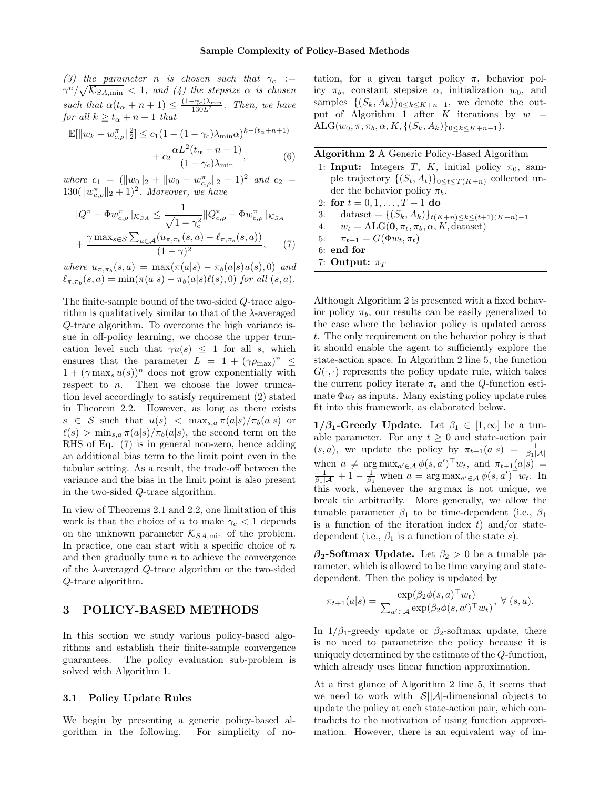(3) the parameter n is chosen such that  $\gamma_c :=$  $\gamma^{n}/\sqrt{\mathcal{K}_{SA,\min}}$  < 1, and (4) the stepsize  $\alpha$  is chosen such that  $\alpha(t_\alpha + n + 1) \leq \frac{(1-\gamma_c)\lambda_{\min}}{130L^2}$ . Then, we have for all  $k \ge t_\alpha + n + 1$  that

$$
\mathbb{E}[\|w_k - w_{c,\rho}^{\pi}\|_2^2] \le c_1 (1 - (1 - \gamma_c)\lambda_{\min}\alpha)^{k - (t_{\alpha} + n + 1)}
$$

$$
\alpha L^2(t_{\alpha} + n + 1)
$$

$$
+ c_2 \frac{dE(\sigma \sqrt{\mu + \mu + 1})}{(1 - \gamma_c)\lambda_{\min}}, \tag{6}
$$

where  $c_1 = (||w_0||_2 + ||w_0 - w_{c,\rho}^{\pi}||_2 + 1)^2$  and  $c_2 =$  $130(||w_{c,\rho}^{\pi}||_2 + 1)^2$ . Moreover, we have

$$
||Q^{\pi} - \Phi w_{c,\rho}^{\pi}||_{\mathcal{K}_{SA}} \le \frac{1}{\sqrt{1 - \gamma_c^2}} ||Q_{c,\rho}^{\pi} - \Phi w_{c,\rho}^{\pi}||_{\mathcal{K}_{SA}} + \frac{\gamma \max_{s \in S} \sum_{a \in \mathcal{A}} (u_{\pi,\pi_b}(s,a) - \ell_{\pi,\pi_b}(s,a))}{(1 - \gamma)^2},
$$
(7)

where  $u_{\pi,\pi_b}(s, a) = \max(\pi(a|s) - \pi_b(a|s)u(s), 0)$  and  $\ell_{\pi,\pi_b}(s,a) = \min(\pi(a|s) - \pi_b(a|s)\ell(s), 0)$  for all  $(s,a)$ .

The finite-sample bound of the two-sided Q-trace algorithm is qualitatively similar to that of the  $\lambda$ -averaged Q-trace algorithm. To overcome the high variance issue in off-policy learning, we choose the upper truncation level such that  $\gamma u(s) \leq 1$  for all s, which ensures that the parameter  $L = 1 + (\gamma \rho_{\text{max}})^n \leq$  $1 + (\gamma \max_s u(s))^n$  does not grow exponentially with respect to  $n$ . Then we choose the lower truncation level accordingly to satisfy requirement (2) stated in Theorem [2.2.](#page-4-4) However, as long as there exists  $s \in \mathcal{S}$  such that  $u(s) < \max_{s,a} \pi(a|s)/\pi_b(a|s)$  or  $\ell(s) > \min_{s,a} \pi(a|s)/\pi_b(a|s)$ , the second term on the RHS of Eq. [\(7\)](#page-5-1) is in general non-zero, hence adding an additional bias term to the limit point even in the tabular setting. As a result, the trade-off between the variance and the bias in the limit point is also present in the two-sided Q-trace algorithm.

In view of Theorems [2.1](#page-4-5) and [2.2,](#page-4-4) one limitation of this work is that the choice of n to make  $\gamma_c < 1$  depends on the unknown parameter  $\mathcal{K}_{SA,\text{min}}$  of the problem. In practice, one can start with a specific choice of  $n$ and then gradually tune  $n$  to achieve the convergence of the  $\lambda$ -averaged  $Q$ -trace algorithm or the two-sided Q-trace algorithm.

## <span id="page-5-0"></span>3 POLICY-BASED METHODS

In this section we study various policy-based algorithms and establish their finite-sample convergence guarantees. The policy evaluation sub-problem is solved with Algorithm [1.](#page-2-0)

#### 3.1 Policy Update Rules

We begin by presenting a generic policy-based algorithm in the following. For simplicity of no-

tation, for a given target policy  $\pi$ , behavior policy  $\pi_b$ , constant stepsize  $\alpha$ , initialization  $w_0$ , and samples  $\{(S_k, A_k)\}_{0 \leq k \leq K+n-1}$ , we denote the out-put of Algorithm [1](#page-2-0) after K iterations by  $w =$  $\text{ALG}(w_0, \pi, \pi_b, \alpha, K, \{ (S_k, A_k) \}_{0 \leq k \leq K+n-1}).$ 

<span id="page-5-3"></span>

| Algorithm 2 A Generic Policy-Based Algorithm |  |  |  |
|----------------------------------------------|--|--|--|
|                                              |  |  |  |

- <span id="page-5-2"></span>1: Input: Integers T, K, initial policy  $\pi_0$ , sample trajectory  $\{(S_t, A_t)\}_{0 \leq t \leq T(K+n)}$  collected under the behavior policy  $\pi_b$ .
- 2: for  $t = 0, 1, ..., T 1$  do
- 3: dataset = { $(S_k, A_k)$ } $_{t(K+n) \le k \le (t+1)(K+n)-1}$
- 4:  $w_t = ALG(0, \pi_t, \pi_b, \alpha, K, \text{dataset})$
- <span id="page-5-1"></span>5:  $\pi_{t+1} = G(\Phi w_t, \pi_t)$
- 6: end for
- 7: Output:  $\pi_T$

Although Algorithm [2](#page-5-2) is presented with a fixed behavior policy  $\pi_b$ , our results can be easily generalized to the case where the behavior policy is updated across t. The only requirement on the behavior policy is that it should enable the agent to sufficiently explore the state-action space. In Algorithm [2](#page-5-2) line 5, the function  $G(\cdot, \cdot)$  represents the policy update rule, which takes the current policy iterate  $\pi_t$  and the Q-function estimate  $\Phi w_t$  as inputs. Many existing policy update rules fit into this framework, as elaborated below.

 $1/\beta_1$ -Greedy Update. Let  $\beta_1 \in [1,\infty]$  be a tunable parameter. For any  $t \geq 0$  and state-action pair  $(s, a)$ , we update the policy by  $\pi_{t+1}(a|s) = \frac{1}{\beta_1 |A|}$ when  $a \neq \arg \max_{a' \in \mathcal{A}} \phi(s, a')^{\top} w_t$ , and  $\pi_{t+1}(a|s) = \frac{1}{\beta_1 |\mathcal{A}|} + 1 - \frac{1}{\beta_1}$  when  $a = \arg \max_{a' \in \mathcal{A}} \phi(s, a')^{\top} w_t$ . In this work, whenever the arg max is not unique, we break tie arbitrarily. More generally, we allow the tunable parameter  $\beta_1$  to be time-dependent (i.e.,  $\beta_1$ ) is a function of the iteration index  $t$ ) and/or statedependent (i.e.,  $\beta_1$  is a function of the state s).

 $\beta_2$ -Softmax Update. Let  $\beta_2 > 0$  be a tunable parameter, which is allowed to be time varying and statedependent. Then the policy is updated by

$$
\pi_{t+1}(a|s) = \frac{\exp(\beta_2 \phi(s, a)^\top w_t)}{\sum_{a' \in \mathcal{A}} \exp(\beta_2 \phi(s, a')^\top w_t)}, \ \forall \ (s, a).
$$

In  $1/\beta_1$ -greedy update or  $\beta_2$ -softmax update, there is no need to parametrize the policy because it is uniquely determined by the estimate of the Q-function, which already uses linear function approximation.

At a first glance of Algorithm [2](#page-5-2) line 5, it seems that we need to work with  $|\mathcal{S}||\mathcal{A}|$ -dimensional objects to update the policy at each state-action pair, which contradicts to the motivation of using function approximation. However, there is an equivalent way of im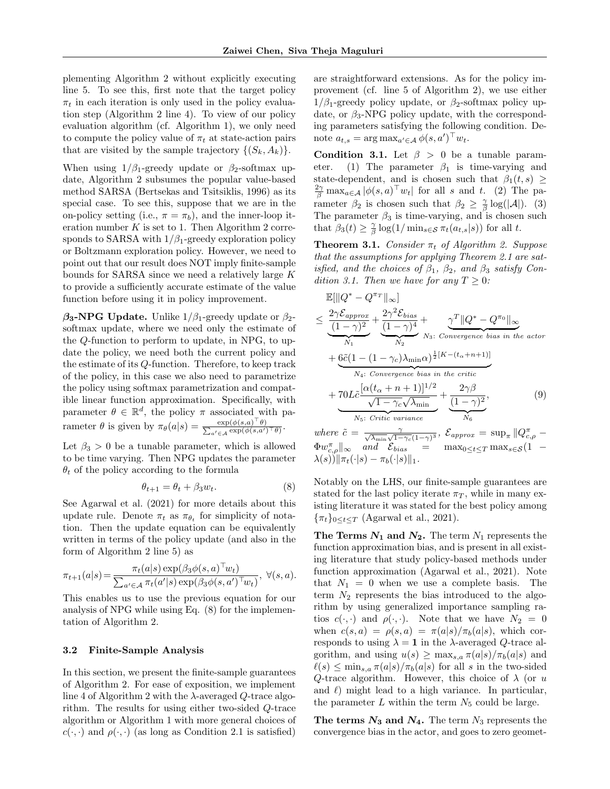plementing Algorithm [2](#page-5-2) without explicitly executing line 5. To see this, first note that the target policy  $\pi_t$  in each iteration is only used in the policy evaluation step (Algorithm [2](#page-5-2) line 4). To view of our policy evaluation algorithm (cf. Algorithm [1\)](#page-2-0), we only need to compute the policy value of  $\pi_t$  at state-action pairs that are visited by the sample trajectory  $\{(S_k, A_k)\}.$ 

When using  $1/\beta_1$ -greedy update or  $\beta_2$ -softmax update, Algorithm [2](#page-5-2) subsumes the popular value-based method SARSA [\(Bertsekas and Tsitsiklis,](#page-9-21) [1996\)](#page-9-21) as its special case. To see this, suppose that we are in the on-policy setting (i.e.,  $\pi = \pi_b$ ), and the inner-loop iteration number  $K$  is set to 1. Then Algorithm [2](#page-5-2) corresponds to SARSA with  $1/\beta_1$ -greedy exploration policy or Boltzmann exploration policy. However, we need to point out that our result does NOT imply finite-sample bounds for SARSA since we need a relatively large K to provide a sufficiently accurate estimate of the value function before using it in policy improvement.

 $\beta_3$ -NPG Update. Unlike 1/ $\beta_1$ -greedy update or  $\beta_2$ softmax update, where we need only the estimate of the Q-function to perform to update, in NPG, to update the policy, we need both the current policy and the estimate of its Q-function. Therefore, to keep track of the policy, in this case we also need to parametrize the policy using softmax parametrization and compatible linear function approximation. Specifically, with parameter  $\theta \in \mathbb{R}^d$ , the policy  $\pi$  associated with parameter  $\theta$  is given by  $\pi_{\theta}(a|s) = \frac{\exp(\phi(s,a))^{\top}}{\sum_{b \in \mathcal{B}} \exp(\phi(s,a))^{\top}}$ P  $\frac{\exp(\phi(s,a)^{\top}\theta)}{a'\in\mathcal{A}}\frac{\exp(\phi(s,a')^{\top}\theta)}{a'}$ 

Let  $\beta_3 > 0$  be a tunable parameter, which is allowed to be time varying. Then NPG updates the parameter  $\theta_t$  of the policy according to the formula

$$
\theta_{t+1} = \theta_t + \beta_3 w_t. \tag{8}
$$

See [Agarwal et al.](#page-9-23) [\(2021\)](#page-9-23) for more details about this update rule. Denote  $\pi_t$  as  $\pi_{\theta_t}$  for simplicity of notation. Then the update equation can be equivalently written in terms of the policy update (and also in the form of Algorithm [2](#page-5-2) line 5) as

$$
\pi_{t+1}(a|s) = \frac{\pi_t(a|s) \exp(\beta_3 \phi(s, a)^\top w_t)}{\sum_{a' \in \mathcal{A}} \pi_t(a'|s) \exp(\beta_3 \phi(s, a')^\top w_t)}, \ \forall (s, a).
$$

This enables us to use the previous equation for our analysis of NPG while using Eq. [\(8\)](#page-6-0) for the implementation of Algorithm [2.](#page-5-2)

#### 3.2 Finite-Sample Analysis

In this section, we present the finite-sample guarantees of Algorithm [2.](#page-5-2) For ease of exposition, we implement line 4 of Algorithm [2](#page-5-2) with the  $\lambda$ -averaged  $Q$ -trace algorithm. The results for using either two-sided Q-trace algorithm or Algorithm [1](#page-2-0) with more general choices of  $c(\cdot, \cdot)$  and  $\rho(\cdot, \cdot)$  (as long as Condition [2.1](#page-3-1) is satisfied)

are straightforward extensions. As for the policy improvement (cf. line 5 of Algorithm [2\)](#page-5-2), we use either  $1/\beta_1$ -greedy policy update, or  $\beta_2$ -softmax policy update, or  $\beta_3$ -NPG policy update, with the corresponding parameters satisfying the following condition. Denote  $a_{t,s} = \arg \max_{a' \in \mathcal{A}} \phi(s, a')^\top w_t$ .

<span id="page-6-1"></span>Condition 3.1. Let  $\beta > 0$  be a tunable parameter. (1) The parameter  $\beta_1$  is time-varying and state-dependent, and is chosen such that  $\beta_1(t,s) \geq$  $\frac{2\gamma}{\beta} \max_{a \in \mathcal{A}} |\phi(s, a)^\top w_t|$  for all s and t. (2) The parameter  $\beta_2$  is chosen such that  $\beta_2 \geq \frac{\gamma}{\beta} \log(|A|)$ . (3) The parameter  $\beta_3$  is time-varying, and is chosen such that  $\beta_3(t) \geq \frac{\gamma}{\beta} \log(1/\min_{s \in \mathcal{S}} \pi_t(a_{t,s}|s))$  for all t.

<span id="page-6-2"></span>**Theorem 3.1.** Consider  $\pi_t$  of Algorithm [2.](#page-5-2) Suppose that the assumptions for applying Theorem [2.1](#page-4-5) are satisfied, and the choices of  $\beta_1$ ,  $\beta_2$ , and  $\beta_3$  satisfy Con-dition [3.1.](#page-6-1) Then we have for any  $T \geq 0$ :

$$
\mathbb{E}[\|Q^* - Q^{\pi_T}\|_{\infty}]
$$
\n
$$
\leq \frac{2\gamma \mathcal{E}_{approx}}{(1-\gamma)^2} + \frac{2\gamma^2 \mathcal{E}_{bias}}{(1-\gamma)^4} + \frac{\gamma^T \|Q^* - Q^{\pi_0}\|_{\infty}}{N_3: Convergence bias in the actor}
$$
\n
$$
+ \underbrace{6\tilde{c}(1 - (1 - \gamma_c)\lambda_{\min}\alpha)^{\frac{1}{2}[K - (t_{\alpha} + n + 1)]}}_{N_4: Convergence bias in the critic}
$$
\n
$$
+ 70L\tilde{c} \frac{[\alpha(t_{\alpha} + n + 1)]^{1/2}}{\sqrt{1 - \gamma_c}\sqrt{\lambda_{\min}}} + \frac{2\gamma\beta}{(1 - \gamma)^2}, \qquad (9)
$$
\nwhere  $\tilde{s}$ ,  $\gamma$ 

where  $\tilde{c} = \frac{\gamma}{\sqrt{\lambda_{\min}}\sqrt{1-\gamma_c(1-\gamma)^3}}, \ \mathcal{E}_{approx} = \sup_{\pi} ||Q_{c,\rho}^{\pi} \Phi w_{c,\rho}^{\pi} \|_{\infty}$  and  $\mathcal{E}_{bias}$  =  $\max_{0 \leq t \leq T} \max_{s \in \mathcal{S}} (1 \lambda(s)\hat{d}||\pi_t(\cdot|s) - \pi_b(\cdot|s)||_1.$ 

<span id="page-6-0"></span>Notably on the LHS, our finite-sample guarantees are stated for the last policy iterate  $\pi_T$ , while in many existing literature it was stated for the best policy among  ${\{\pi_t\}}_{0 \leq t \leq T}$  [\(Agarwal et al.,](#page-9-23) [2021\)](#page-9-23).

The Terms  $N_1$  and  $N_2$ . The term  $N_1$  represents the function approximation bias, and is present in all existing literature that study policy-based methods under function approximation [\(Agarwal et al.,](#page-9-23) [2021\)](#page-9-23). Note that  $N_1 = 0$  when we use a complete basis. The term  $N_2$  represents the bias introduced to the algorithm by using generalized importance sampling ratios  $c(\cdot, \cdot)$  and  $\rho(\cdot, \cdot)$ . Note that we have  $N_2 = 0$ when  $c(s, a) = \rho(s, a) = \pi(a|s)/\pi_b(a|s)$ , which corresponds to using  $\lambda = 1$  in the  $\lambda$ -averaged Q-trace algorithm, and using  $u(s) \geq \max_{s,a} \pi(a|s)/\pi_b(a|s)$  and  $\ell(s) \leq \min_{s,a} \pi(a|s)/\pi_b(a|s)$  for all s in the two-sided Q-trace algorithm. However, this choice of  $\lambda$  (or u and  $\ell$ ) might lead to a high variance. In particular, the parameter  $L$  within the term  $N_5$  could be large.

The terms  $N_3$  and  $N_4$ . The term  $N_3$  represents the convergence bias in the actor, and goes to zero geomet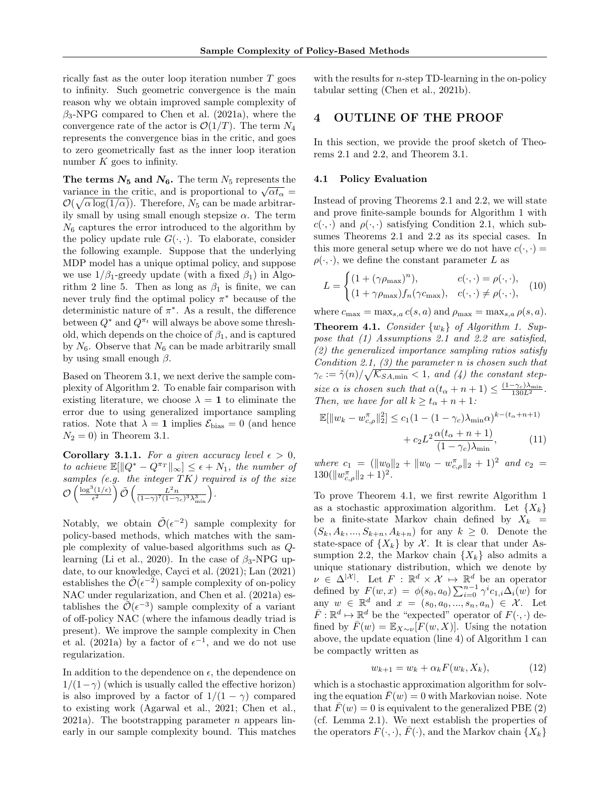rically fast as the outer loop iteration number T goes to infinity. Such geometric convergence is the main reason why we obtain improved sample complexity of  $\beta_3$ -NPG compared to [Chen et al.](#page-9-1) [\(2021a\)](#page-9-1), where the convergence rate of the actor is  $\mathcal{O}(1/T)$ . The term  $N_4$ represents the convergence bias in the critic, and goes to zero geometrically fast as the inner loop iteration number  $K$  goes to infinity.

The terms  $N_5$  and  $N_6$ . The term  $N_5$  represents the The terms  $N_5$  and  $N_6$ . The term  $N_5$  represents the variance in the critic, and is proportional to  $\sqrt{\alpha t_{\alpha}} =$  $\mathcal{O}(\sqrt{\alpha \log(1/\alpha)})$ . Therefore,  $N_5$  can be made arbitrarily small by using small enough stepsize  $\alpha$ . The term  $N<sub>6</sub>$  captures the error introduced to the algorithm by the policy update rule  $G(\cdot, \cdot)$ . To elaborate, consider the following example. Suppose that the underlying MDP model has a unique optimal policy, and suppose we use  $1/\beta_1$ -greedy update (with a fixed  $\beta_1$ ) in Algo-rithm [2](#page-5-2) line 5. Then as long as  $\beta_1$  is finite, we can never truly find the optimal policy  $\pi^*$  because of the deterministic nature of  $\pi^*$ . As a result, the difference between  $Q^*$  and  $Q^{\pi_t}$  will always be above some threshold, which depends on the choice of  $\beta_1$ , and is captured by  $N_6$ . Observe that  $N_6$  can be made arbitrarily small by using small enough  $\beta$ .

Based on Theorem [3.1,](#page-6-2) we next derive the sample complexity of Algorithm [2.](#page-5-2) To enable fair comparison with existing literature, we choose  $\lambda = 1$  to eliminate the error due to using generalized importance sampling ratios. Note that  $\lambda = 1$  implies  $\mathcal{E}_{bias} = 0$  (and hence  $N_2 = 0$ ) in Theorem [3.1.](#page-6-2)

**Corollary 3.1.1.** For a given accuracy level  $\epsilon > 0$ , to achieve  $\mathbb{E}[\|Q^* - Q^{\pi_T}\|_{\infty}] \leq \epsilon + N_1$ , the number of samples (e.g. the integer  $TK$ ) required is of the size  $\mathcal{O}\left(\frac{\log^3(1/\epsilon)}{\epsilon^2}\right)$  $\left(\frac{L^2 n}{(1-\gamma)^7(1-\gamma_c)^3\lambda_{\min}^3}\right).$ 

Notably, we obtain  $\tilde{\mathcal{O}}(\epsilon^{-2})$  sample complexity for policy-based methods, which matches with the sample complexity of value-based algorithms such as Q-learning [\(Li et al.,](#page-10-19) [2020\)](#page-10-19). In the case of  $\beta_3$ -NPG update, to our knowledge, [Cayci et al.](#page-9-17) [\(2021\)](#page-9-17); [Lan](#page-9-15) [\(2021\)](#page-9-15) establishes the  $\tilde{\mathcal{O}}(\epsilon^{-2})$  sample complexity of on-policy NAC under regularization, and [Chen et al.](#page-9-1) [\(2021a\)](#page-9-1) establishes the  $\tilde{\mathcal{O}}(\epsilon^{-3})$  sample complexity of a variant of off-policy NAC (where the infamous deadly triad is present). We improve the sample complexity in [Chen](#page-9-1) [et al.](#page-9-1) [\(2021a\)](#page-9-1) by a factor of  $\epsilon^{-1}$ , and we do not use regularization.

In addition to the dependence on  $\epsilon$ , the dependence on  $1/(1-\gamma)$  (which is usually called the effective horizon) is also improved by a factor of  $1/(1 - \gamma)$  compared to existing work [\(Agarwal et al.,](#page-9-23) [2021;](#page-9-23) [Chen et al.,](#page-9-1) [2021a\)](#page-9-1). The bootstrapping parameter *n* appears linearly in our sample complexity bound. This matches with the results for  $n$ -step TD-learning in the on-policy tabular setting [\(Chen et al.,](#page-9-7) [2021b\)](#page-9-7).

## <span id="page-7-2"></span>4 OUTLINE OF THE PROOF

In this section, we provide the proof sketch of Theorems [2.1](#page-4-5) and [2.2,](#page-4-4) and Theorem [3.1.](#page-6-2)

#### 4.1 Policy Evaluation

Instead of proving Theorems [2.1](#page-4-5) and [2.2,](#page-4-4) we will state and prove finite-sample bounds for Algorithm [1](#page-2-0) with  $c(\cdot, \cdot)$  and  $\rho(\cdot, \cdot)$  satisfying Condition [2.1,](#page-3-1) which subsumes Theorems [2.1](#page-4-5) and [2.2](#page-4-4) as its special cases. In this more general setup where we do not have  $c(\cdot, \cdot)$  =  $\rho(\cdot,\cdot)$ , we define the constant parameter L as

$$
L = \begin{cases} (1 + (\gamma \rho_{\text{max}})^n), & c(\cdot, \cdot) = \rho(\cdot, \cdot), \\ (1 + \gamma \rho_{\text{max}}) f_n(\gamma c_{\text{max}}), & c(\cdot, \cdot) \neq \rho(\cdot, \cdot), \end{cases}
$$
 (10)

<span id="page-7-0"></span>where  $c_{\text{max}} = \max_{s,a} c(s,a)$  and  $\rho_{\text{max}} = \max_{s,a} \rho(s,a)$ . **Theorem 4.[1.](#page-2-0)** Consider  $\{w_k\}$  of Algorithm 1. Suppose that (1) Assumptions [2.1](#page-2-3) and [2.2](#page-2-1) are satisfied, (2) the generalized importance sampling ratios satisfy Condition [2.1,](#page-3-1) (3) the parameter  $n$  is chosen such that  $\gamma_c := \tilde{\gamma}(n)/\sqrt{\mathcal{K}_{SA,\min}} < 1$ , and (4) the constant stepsize  $\alpha$  is chosen such that  $\alpha(t_{\alpha}+n+1) \leq \frac{(1-\gamma_c)\lambda_{\min}}{130L^2}$ . Then, we have for all  $k \ge t_\alpha + n + 1$ :

$$
\mathbb{E}[\|w_k - w_{c,\rho}^{\pi}\|_2^2] \le c_1 (1 - (1 - \gamma_c)\lambda_{\min}\alpha)^{k - (t_{\alpha} + n + 1)} + c_2 L^2 \frac{\alpha(t_{\alpha} + n + 1)}{(1 - \gamma_c)\lambda_{\min}},
$$
(11)

where  $c_1 = (||w_0||_2 + ||w_0 - w_{c,\rho}^{\pi}||_2 + 1)^2$  and  $c_2 =$  $130(\|w_{c,\rho}^{\pi}\|_2+1)^2$ .

To prove Theorem [4.1,](#page-7-0) we first rewrite Algorithm [1](#page-2-0) as a stochastic approximation algorithm. Let  ${X_k}$ be a finite-state Markov chain defined by  $X_k =$  $(S_k, A_k, ..., S_{k+n}, A_{k+n})$  for any  $k \geq 0$ . Denote the state-space of  $\{X_k\}$  by X. It is clear that under As-sumption [2.2,](#page-2-1) the Markov chain  $\{X_k\}$  also admits a unique stationary distribution, which we denote by  $\nu \in \Delta^{|\mathcal{X}|}$ . Let  $F : \mathbb{R}^d \times \mathcal{X} \mapsto \mathbb{R}^d$  be an operator defined by  $F(w, x) = \phi(s_0, a_0) \sum_{i=0}^{n-1} \gamma^i c_{1,i} \Delta_i(w)$  for any  $w \in \mathbb{R}^d$  and  $x = (s_0, a_0, ..., s_n, a_n) \in \mathcal{X}$ . Let  $\overline{F}$ :  $\mathbb{R}^d \mapsto \mathbb{R}^d$  be the "expected" operator of  $F(\cdot, \cdot)$  defined by  $\bar{F}(w) = \mathbb{E}_{X \sim \nu}[F(w, X)]$ . Using the notation above, the update equation (line 4) of Algorithm [1](#page-2-0) can be compactly written as

<span id="page-7-1"></span>
$$
w_{k+1} = w_k + \alpha_k F(w_k, X_k), \qquad (12)
$$

which is a stochastic approximation algorithm for solving the equation  $\bar{F}(w) = 0$  with Markovian noise. Note that  $\bar{F}(w) = 0$  is equivalent to the generalized PBE [\(2\)](#page-3-0) (cf. Lemma [2.1\)](#page-3-3). We next establish the properties of the operators  $F(\cdot, \cdot)$ ,  $\overline{F}(\cdot)$ , and the Markov chain  $\{X_k\}$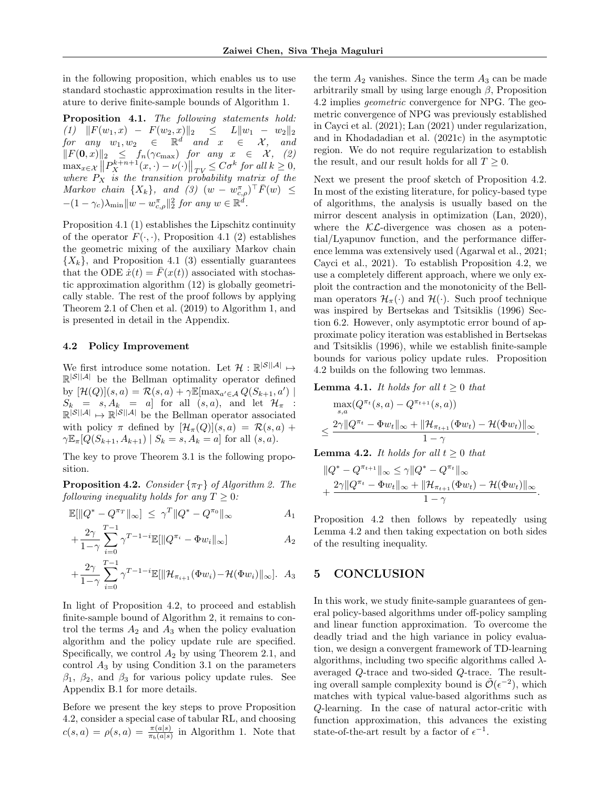in the following proposition, which enables us to use standard stochastic approximation results in the literature to derive finite-sample bounds of Algorithm [1.](#page-2-0)

<span id="page-8-0"></span>Proposition 4.1. The following statements hold:  $(1)$   $||F(w_1,x) - F(w_2,x)||_2 \leq L||w_1 - w_2||_2$  $for \quad any \quad w_1, w_2 \quad \in \quad \mathbb{R}^d \quad and \quad x \quad \in \quad \mathcal{X}, \quad and$  $||F(\mathbf{0}, x)||_2$  ≤  $f_n(\gamma c_{\text{max}})$  for any  $x \in \mathcal{X}$ , (2)  $\max_{x \in \mathcal{X}} \| P_X^{k+n+1}(x, \cdot) - \nu(\cdot) \|_{TV} \leq C \sigma^k \text{ for all } k \geq 0,$  $\max_{x \in \mathcal{X}} ||F_X - (x, \cdot) - \nu(\cdot)||_{TV} \leq C\sigma$  for all  $\kappa \geq 0$ ,<br>where  $P_X$  is the transition probability matrix of the Markov chain  $\{X_k\}$ , and  $(3)$   $(w - w_{c,\rho}^{\pi})^{\top} \overline{F}(w) \leq$  $-(1-\gamma_c)\lambda_{\min} \|w-w_{c,\rho}^{\pi}\|_2^2$  for any  $w \in \mathbb{R}^d$ .

Proposition [4.1](#page-8-0) (1) establishes the Lipschitz continuity of the operator  $F(\cdot, \cdot)$ , Proposition [4.1](#page-8-0) (2) establishes the geometric mixing of the auxiliary Markov chain  ${X_k}$ , and Proposition [4.1](#page-8-0) (3) essentially guarantees that the ODE  $\dot{x}(t) = \bar{F}(x(t))$  associated with stochastic approximation algorithm [\(12\)](#page-7-1) is globally geometrically stable. The rest of the proof follows by applying Theorem 2.1 of [Chen et al.](#page-9-22) [\(2019\)](#page-9-22) to Algorithm [1,](#page-2-0) and is presented in detail in the Appendix.

### 4.2 Policy Improvement

We first introduce some notation. Let  $\mathcal{H}: \mathbb{R}^{|\mathcal{S}||\mathcal{A}|} \mapsto$  $\mathbb{R}^{\mathcal{S} \mid \mathcal{A} \mid}$  be the Bellman optimality operator defined by  $[\mathcal{H}(Q)](s, a) = \mathcal{R}(s, a) + \gamma \mathbb{E}[\max_{a' \in \mathcal{A}} Q(S_{k+1}, a')]$  $S_k = s, A_k = a$  for all  $(s, a)$ , and let  $\mathcal{H}_{\pi}$  :  $\mathbb{R}^{|\mathcal{S}||\mathcal{A}|} \mapsto \mathbb{R}^{|\mathcal{S}||\mathcal{A}|}$  be the Bellman operator associated with policy  $\pi$  defined by  $[\mathcal{H}_{\pi}(Q)](s, a) = \mathcal{R}(s, a) +$  $\gamma \mathbb{E}_{\pi}[Q(S_{k+1}, A_{k+1}) | S_k = s, A_k = a]$  for all  $(s, a)$ .

The key to prove Theorem [3.1](#page-6-2) is the following proposition.

<span id="page-8-1"></span>**Proposition 4.[2.](#page-5-2)** Consider  $\{\pi_T\}$  of Algorithm 2. The following inequality holds for any  $T \geq 0$ :

$$
\mathbb{E}[\|Q^* - Q^{\pi_T}\|_{\infty}] \le \gamma^T \|Q^* - Q^{\pi_0}\|_{\infty} \qquad A_1
$$

$$
+\frac{2\gamma}{1-\gamma}\sum_{i=0}^{T-1}\gamma^{T-1-i}\mathbb{E}[\|Q^{\pi_i}-\Phi w_i\|_{\infty}]
$$
  $A_2$ 

$$
+\frac{2\gamma}{1-\gamma}\sum_{i=0}^{T-1}\gamma^{T-1-i}\mathbb{E}[\|\mathcal{H}_{\pi_{i+1}}(\Phi w_i)-\mathcal{H}(\Phi w_i)\|_{\infty}].\ \ A_3
$$

In light of Proposition [4.2,](#page-8-1) to proceed and establish finite-sample bound of Algorithm [2,](#page-5-2) it remains to control the terms  $A_2$  and  $A_3$  when the policy evaluation algorithm and the policy update rule are specified. Specifically, we control  $A_2$  by using Theorem [2.1,](#page-4-5) and control  $A_3$  by using Condition [3.1](#page-6-1) on the parameters  $\beta_1$ ,  $\beta_2$ , and  $\beta_3$  for various policy update rules. See Appendix [B.1](#page-13-0) for more details.

Before we present the key steps to prove Proposition [4.2,](#page-8-1) consider a special case of tabular RL, and choosing  $c(s,a) = \rho(s,a) = \frac{\pi(a|s)}{\pi_b(a|s)}$  in Algorithm [1.](#page-2-0) Note that

the term  $A_2$  vanishes. Since the term  $A_3$  can be made arbitrarily small by using large enough  $\beta$ , Proposition [4.2](#page-8-1) implies geometric convergence for NPG. The geometric convergence of NPG was previously established in [Cayci et al.](#page-9-17) [\(2021\)](#page-9-17); [Lan](#page-9-15) [\(2021\)](#page-9-15) under regularization, and in [Khodadadian et al.](#page-9-24) [\(2021c\)](#page-9-24) in the asymptotic region. We do not require regularization to establish the result, and our result holds for all  $T \geq 0$ .

Next we present the proof sketch of Proposition [4.2.](#page-8-1) In most of the existing literature, for policy-based type of algorithms, the analysis is usually based on the mirror descent analysis in optimization [\(Lan,](#page-9-25) [2020\)](#page-9-25), where the  $K\mathcal{L}$ -divergence was chosen as a potential/Lyapunov function, and the performance difference lemma was extensively used [\(Agarwal et al.,](#page-9-23) [2021;](#page-9-23) [Cayci et al.,](#page-9-17) [2021\)](#page-9-17). To establish Proposition [4.2,](#page-8-1) we use a completely different approach, where we only exploit the contraction and the monotonicity of the Bellman operators  $\mathcal{H}_{\pi}(\cdot)$  and  $\mathcal{H}(\cdot)$ . Such proof technique was inspired by [Bertsekas and Tsitsiklis](#page-9-21) [\(1996\)](#page-9-21) Section 6.2. However, only asymptotic error bound of approximate policy iteration was established in [Bertsekas](#page-9-21) [and Tsitsiklis](#page-9-21) [\(1996\)](#page-9-21), while we establish finite-sample bounds for various policy update rules. Proposition [4.2](#page-8-1) builds on the following two lemmas.

<span id="page-8-3"></span>**Lemma 4.1.** It holds for all  $t \geq 0$  that

$$
\max_{s,a} (Q^{\pi_t}(s,a) - Q^{\pi_{t+1}}(s,a))
$$
  

$$
\leq \frac{2\gamma \|Q^{\pi_t} - \Phi w_t\|_{\infty} + \|\mathcal{H}_{\pi_{t+1}}(\Phi w_t) - \mathcal{H}(\Phi w_t)\|_{\infty}}{1 - \gamma}.
$$

<span id="page-8-2"></span>**Lemma 4.2.** It holds for all  $t > 0$  that

$$
\begin{aligned} &\|Q^* - Q^{\pi_{t+1}}\|_{\infty} \leq \gamma \|Q^* - Q^{\pi_t}\|_{\infty} \\ &+ \frac{2\gamma \|Q^{\pi_t} - \Phi w_t\|_{\infty} + \|\mathcal{H}_{\pi_{t+1}}(\Phi w_t) - \mathcal{H}(\Phi w_t)\|_{\infty}}{1 - \gamma}.\end{aligned}
$$

Proposition [4.2](#page-8-1) then follows by repeatedly using Lemma [4.2](#page-8-2) and then taking expectation on both sides of the resulting inequality.

# 5 CONCLUSION

In this work, we study finite-sample guarantees of general policy-based algorithms under off-policy sampling and linear function approximation. To overcome the deadly triad and the high variance in policy evaluation, we design a convergent framework of TD-learning algorithms, including two specific algorithms called  $\lambda$ averaged Q-trace and two-sided Q-trace. The resulting overall sample complexity bound is  $\tilde{\mathcal{O}}(\epsilon^{-2})$ , which matches with typical value-based algorithms such as Q-learning. In the case of natural actor-critic with function approximation, this advances the existing state-of-the-art result by a factor of  $\epsilon^{-1}$ .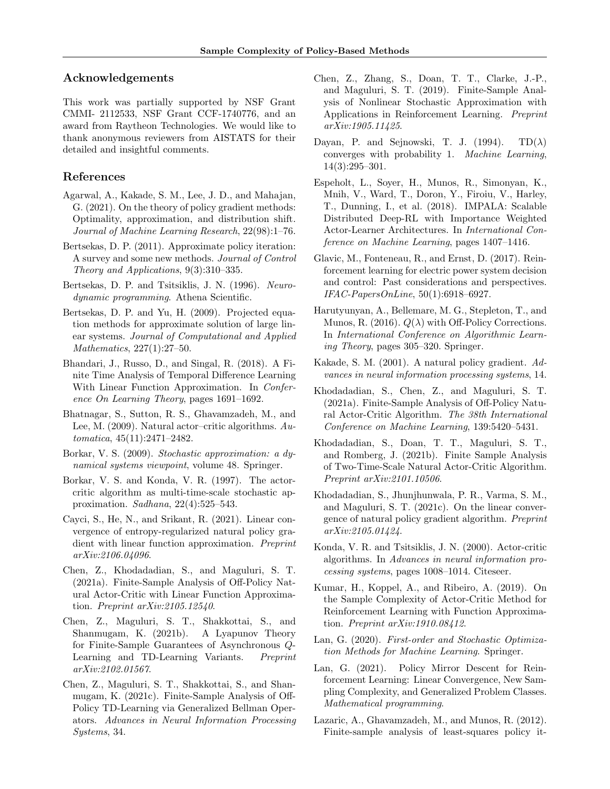## Acknowledgements

This work was partially supported by NSF Grant CMMI- 2112533, NSF Grant CCF-1740776, and an award from Raytheon Technologies. We would like to thank anonymous reviewers from AISTATS for their detailed and insightful comments.

## References

- <span id="page-9-23"></span>Agarwal, A., Kakade, S. M., Lee, J. D., and Mahajan, G. (2021). On the theory of policy gradient methods: Optimality, approximation, and distribution shift. Journal of Machine Learning Research, 22(98):1–76.
- <span id="page-9-4"></span>Bertsekas, D. P. (2011). Approximate policy iteration: A survey and some new methods. Journal of Control Theory and Applications, 9(3):310–335.
- <span id="page-9-21"></span>Bertsekas, D. P. and Tsitsiklis, J. N. (1996). Neurodynamic programming. Athena Scientific.
- <span id="page-9-6"></span>Bertsekas, D. P. and Yu, H. (2009). Projected equation methods for approximate solution of large linear systems. Journal of Computational and Applied Mathematics, 227(1):27–50.
- <span id="page-9-11"></span>Bhandari, J., Russo, D., and Singal, R. (2018). A Finite Time Analysis of Temporal Difference Learning With Linear Function Approximation. In Conference On Learning Theory, pages 1691–1692.
- <span id="page-9-14"></span>Bhatnagar, S., Sutton, R. S., Ghavamzadeh, M., and Lee, M. (2009). Natural actor–critic algorithms. Automatica, 45(11):2471–2482.
- <span id="page-9-12"></span>Borkar, V. S. (2009). Stochastic approximation: a dynamical systems viewpoint, volume 48. Springer.
- <span id="page-9-13"></span>Borkar, V. S. and Konda, V. R. (1997). The actorcritic algorithm as multi-time-scale stochastic approximation. Sadhana, 22(4):525–543.
- <span id="page-9-17"></span>Cayci, S., He, N., and Srikant, R. (2021). Linear convergence of entropy-regularized natural policy gradient with linear function approximation. Preprint arXiv:2106.04096.
- <span id="page-9-1"></span>Chen, Z., Khodadadian, S., and Maguluri, S. T. (2021a). Finite-Sample Analysis of Off-Policy Natural Actor-Critic with Linear Function Approximation. Preprint arXiv:2105.12540.
- <span id="page-9-7"></span>Chen, Z., Maguluri, S. T., Shakkottai, S., and Shanmugam, K. (2021b). A Lyapunov Theory for Finite-Sample Guarantees of Asynchronous Q-Learning and TD-Learning Variants. Preprint arXiv:2102.01567.
- <span id="page-9-9"></span>Chen, Z., Maguluri, S. T., Shakkottai, S., and Shanmugam, K. (2021c). Finite-Sample Analysis of Off-Policy TD-Learning via Generalized Bellman Operators. Advances in Neural Information Processing Systems, 34.
- <span id="page-9-22"></span>Chen, Z., Zhang, S., Doan, T. T., Clarke, J.-P., and Maguluri, S. T. (2019). Finite-Sample Analysis of Nonlinear Stochastic Approximation with Applications in Reinforcement Learning. Preprint arXiv:1905.11425.
- <span id="page-9-5"></span>Dayan, P. and Sejnowski, T. J. (1994).  $TD(\lambda)$ converges with probability 1. Machine Learning, 14(3):295–301.
- <span id="page-9-19"></span>Espeholt, L., Soyer, H., Munos, R., Simonyan, K., Mnih, V., Ward, T., Doron, Y., Firoiu, V., Harley, T., Dunning, I., et al. (2018). IMPALA: Scalable Distributed Deep-RL with Importance Weighted Actor-Learner Architectures. In International Conference on Machine Learning, pages 1407–1416.
- <span id="page-9-0"></span>Glavic, M., Fonteneau, R., and Ernst, D. (2017). Reinforcement learning for electric power system decision and control: Past considerations and perspectives. IFAC-PapersOnLine, 50(1):6918–6927.
- <span id="page-9-20"></span>Harutyunyan, A., Bellemare, M. G., Stepleton, T., and Munos, R. (2016).  $Q(\lambda)$  with Off-Policy Corrections. In International Conference on Algorithmic Learning Theory, pages 305–320. Springer.
- <span id="page-9-3"></span>Kakade, S. M. (2001). A natural policy gradient. Advances in neural information processing systems, 14.
- <span id="page-9-18"></span>Khodadadian, S., Chen, Z., and Maguluri, S. T. (2021a). Finite-Sample Analysis of Off-Policy Natural Actor-Critic Algorithm. The 38th International Conference on Machine Learning, 139:5420–5431.
- <span id="page-9-8"></span>Khodadadian, S., Doan, T. T., Maguluri, S. T., and Romberg, J. (2021b). Finite Sample Analysis of Two-Time-Scale Natural Actor-Critic Algorithm. Preprint arXiv:2101.10506.
- <span id="page-9-24"></span>Khodadadian, S., Jhunjhunwala, P. R., Varma, S. M., and Maguluri, S. T. (2021c). On the linear convergence of natural policy gradient algorithm. Preprint arXiv:2105.01424.
- <span id="page-9-2"></span>Konda, V. R. and Tsitsiklis, J. N. (2000). Actor-critic algorithms. In Advances in neural information processing systems, pages 1008–1014. Citeseer.
- <span id="page-9-16"></span>Kumar, H., Koppel, A., and Ribeiro, A. (2019). On the Sample Complexity of Actor-Critic Method for Reinforcement Learning with Function Approximation. Preprint arXiv:1910.08412.
- <span id="page-9-25"></span>Lan, G. (2020). First-order and Stochastic Optimization Methods for Machine Learning. Springer.
- <span id="page-9-15"></span>Lan, G. (2021). Policy Mirror Descent for Reinforcement Learning: Linear Convergence, New Sampling Complexity, and Generalized Problem Classes. Mathematical programming.
- <span id="page-9-10"></span>Lazaric, A., Ghavamzadeh, M., and Munos, R. (2012). Finite-sample analysis of least-squares policy it-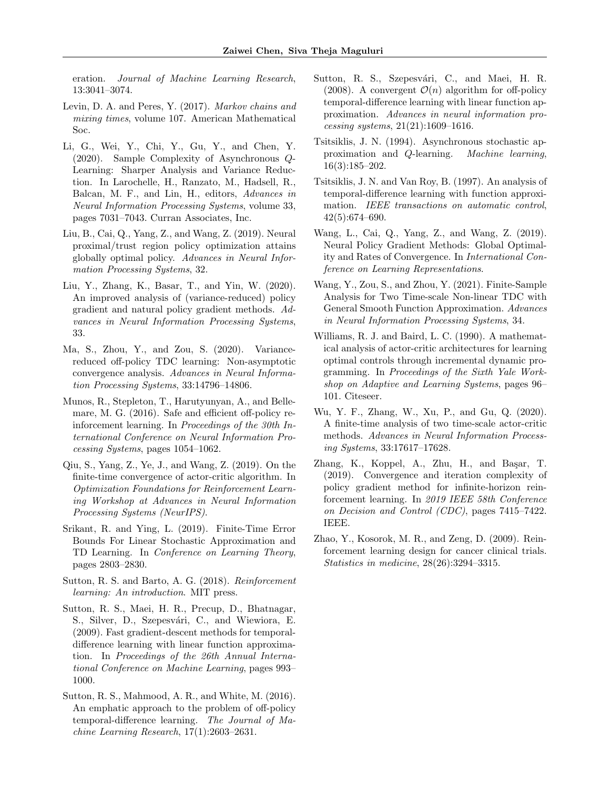eration. Journal of Machine Learning Research, 13:3041–3074.

- <span id="page-10-18"></span>Levin, D. A. and Peres, Y. (2017). Markov chains and mixing times, volume 107. American Mathematical Soc.
- <span id="page-10-19"></span>Li, G., Wei, Y., Chi, Y., Gu, Y., and Chen, Y. (2020). Sample Complexity of Asynchronous Q-Learning: Sharper Analysis and Variance Reduction. In Larochelle, H., Ranzato, M., Hadsell, R., Balcan, M. F., and Lin, H., editors, Advances in Neural Information Processing Systems, volume 33, pages 7031–7043. Curran Associates, Inc.
- <span id="page-10-13"></span>Liu, B., Cai, Q., Yang, Z., and Wang, Z. (2019). Neural proximal/trust region policy optimization attains globally optimal policy. Advances in Neural Information Processing Systems, 32.
- <span id="page-10-15"></span>Liu, Y., Zhang, K., Basar, T., and Yin, W. (2020). An improved analysis of (variance-reduced) policy gradient and natural policy gradient methods. Advances in Neural Information Processing Systems, 33.
- <span id="page-10-8"></span>Ma, S., Zhou, Y., and Zou, S. (2020). Variancereduced off-policy TDC learning: Non-asymptotic convergence analysis. Advances in Neural Information Processing Systems, 33:14796–14806.
- <span id="page-10-17"></span>Munos, R., Stepleton, T., Harutyunyan, A., and Bellemare, M. G. (2016). Safe and efficient off-policy reinforcement learning. In Proceedings of the 30th International Conference on Neural Information Processing Systems, pages 1054–1062.
- <span id="page-10-12"></span>Qiu, S., Yang, Z., Ye, J., and Wang, Z. (2019). On the finite-time convergence of actor-critic algorithm. In Optimization Foundations for Reinforcement Learning Workshop at Advances in Neural Information Processing Systems (NeurIPS).
- <span id="page-10-4"></span>Srikant, R. and Ying, L. (2019). Finite-Time Error Bounds For Linear Stochastic Approximation and TD Learning. In Conference on Learning Theory, pages 2803–2830.
- <span id="page-10-0"></span>Sutton, R. S. and Barto, A. G. (2018). Reinforcement learning: An introduction. MIT press.
- <span id="page-10-5"></span>Sutton, R. S., Maei, H. R., Precup, D., Bhatnagar, S., Silver, D., Szepesvári, C., and Wiewiora, E. (2009). Fast gradient-descent methods for temporaldifference learning with linear function approximation. In Proceedings of the 26th Annual International Conference on Machine Learning, pages 993– 1000.
- <span id="page-10-7"></span>Sutton, R. S., Mahmood, A. R., and White, M. (2016). An emphatic approach to the problem of off-policy temporal-difference learning. The Journal of Machine Learning Research, 17(1):2603–2631.
- <span id="page-10-6"></span>Sutton, R. S., Szepesvári, C., and Maei, H. R. (2008). A convergent  $\mathcal{O}(n)$  algorithm for off-policy temporal-difference learning with linear function approximation. Advances in neural information processing systems, 21(21):1609–1616.
- <span id="page-10-2"></span>Tsitsiklis, J. N. (1994). Asynchronous stochastic approximation and Q-learning. Machine learning, 16(3):185–202.
- <span id="page-10-3"></span>Tsitsiklis, J. N. and Van Roy, B. (1997). An analysis of temporal-difference learning with function approximation. IEEE transactions on automatic control, 42(5):674–690.
- <span id="page-10-14"></span>Wang, L., Cai, Q., Yang, Z., and Wang, Z. (2019). Neural Policy Gradient Methods: Global Optimality and Rates of Convergence. In International Conference on Learning Representations.
- <span id="page-10-9"></span>Wang, Y., Zou, S., and Zhou, Y. (2021). Finite-Sample Analysis for Two Time-scale Non-linear TDC with General Smooth Function Approximation. Advances in Neural Information Processing Systems, 34.
- <span id="page-10-10"></span>Williams, R. J. and Baird, L. C. (1990). A mathematical analysis of actor-critic architectures for learning optimal controls through incremental dynamic programming. In Proceedings of the Sixth Yale Workshop on Adaptive and Learning Systems, pages 96– 101. Citeseer.
- <span id="page-10-16"></span>Wu, Y. F., Zhang, W., Xu, P., and Gu, Q. (2020). A finite-time analysis of two time-scale actor-critic methods. Advances in Neural Information Processing Systems, 33:17617–17628.
- <span id="page-10-11"></span>Zhang, K., Koppel, A., Zhu, H., and Başar, T. (2019). Convergence and iteration complexity of policy gradient method for infinite-horizon reinforcement learning. In 2019 IEEE 58th Conference on Decision and Control (CDC), pages 7415–7422. IEEE.
- <span id="page-10-1"></span>Zhao, Y., Kosorok, M. R., and Zeng, D. (2009). Reinforcement learning design for cancer clinical trials. Statistics in medicine, 28(26):3294–3315.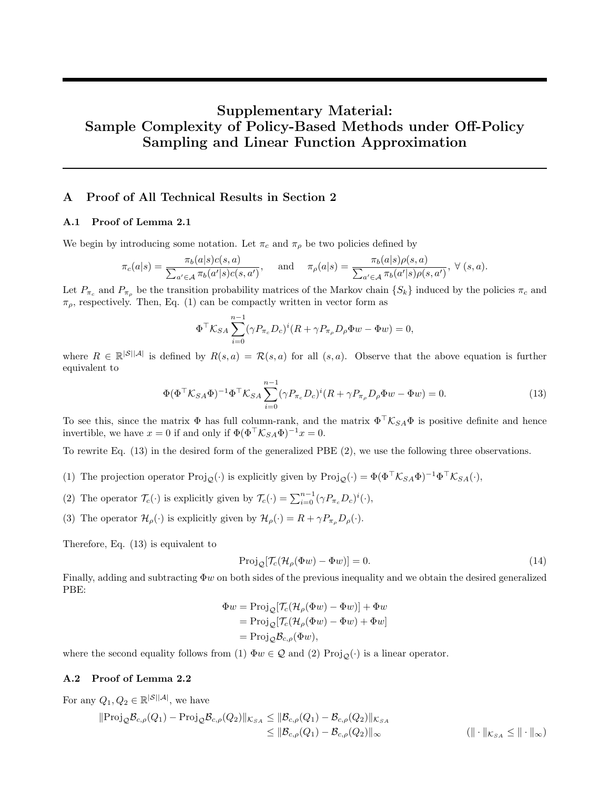# Supplementary Material: Sample Complexity of Policy-Based Methods under Off-Policy Sampling and Linear Function Approximation

## A Proof of All Technical Results in Section [2](#page-1-0)

### A.1 Proof of Lemma [2.1](#page-3-3)

We begin by introducing some notation. Let  $\pi_c$  and  $\pi_\rho$  be two policies defined by

$$
\pi_c(a|s) = \frac{\pi_b(a|s)c(s,a)}{\sum_{a' \in \mathcal{A}} \pi_b(a'|s)c(s,a')}, \quad \text{and} \quad \pi_\rho(a|s) = \frac{\pi_b(a|s)\rho(s,a)}{\sum_{a' \in \mathcal{A}} \pi_b(a'|s)\rho(s,a')}, \ \forall (s,a).
$$

Let  $P_{\pi_c}$  and  $P_{\pi_p}$  be the transition probability matrices of the Markov chain  $\{S_k\}$  induced by the policies  $\pi_c$  and  $\pi_{\rho}$ , respectively. Then, Eq. [\(1\)](#page-2-2) can be compactly written in vector form as

$$
\Phi^{\top}\mathcal{K}_{SA} \sum_{i=0}^{n-1} (\gamma P_{\pi_c} D_c)^i (R + \gamma P_{\pi_\rho} D_\rho \Phi w - \Phi w) = 0,
$$

where  $R \in \mathbb{R}^{|S||\mathcal{A}|}$  is defined by  $R(s, a) = \mathcal{R}(s, a)$  for all  $(s, a)$ . Observe that the above equation is further equivalent to

$$
\Phi(\Phi^{\top}\mathcal{K}_{SA}\Phi)^{-1}\Phi^{\top}\mathcal{K}_{SA}\sum_{i=0}^{n-1}(\gamma P_{\pi_c}D_c)^i(R+\gamma P_{\pi_\rho}D_\rho\Phi w-\Phi w)=0.
$$
\n(13)

To see this, since the matrix  $\Phi$  has full column-rank, and the matrix  $\Phi^{\top}\mathcal{K}_{SA}\Phi$  is positive definite and hence invertible, we have  $x = 0$  if and only if  $\Phi(\Phi^{\top} \mathcal{K}_{SA} \Phi)^{-1} x = 0$ .

To rewrite Eq. [\(13\)](#page-11-0) in the desired form of the generalized PBE [\(2\)](#page-3-0), we use the following three observations.

- (1) The projection operator  $\text{Proj}_{\mathcal{Q}}(\cdot)$  is explicitly given by  $\text{Proj}_{\mathcal{Q}}(\cdot) = \Phi(\Phi^{\top} \mathcal{K}_{SA} \Phi)^{-1} \Phi^{\top} \mathcal{K}_{SA}(\cdot),$
- (2) The operator  $\mathcal{T}_c(\cdot)$  is explicitly given by  $\mathcal{T}_c(\cdot) = \sum_{i=0}^{n-1} (\gamma P_{\pi_c} D_c)^i(\cdot),$
- (3) The operator  $\mathcal{H}_{\rho}(\cdot)$  is explicitly given by  $\mathcal{H}_{\rho}(\cdot) = R + \gamma P_{\pi_{\rho}} D_{\rho}(\cdot)$ .

Therefore, Eq. [\(13\)](#page-11-0) is equivalent to

<span id="page-11-0"></span>
$$
Proj_{\mathcal{Q}}[\mathcal{T}_{c}(\mathcal{H}_{\rho}(\Phi w) - \Phi w)] = 0.
$$
\n(14)

Finally, adding and subtracting  $\Phi w$  on both sides of the previous inequality and we obtain the desired generalized PBE:

$$
\Phi w = \text{Proj}_{\mathcal{Q}}[\mathcal{T}_c(\mathcal{H}_\rho(\Phi w) - \Phi w)] + \Phi w
$$
  
=  $\text{Proj}_{\mathcal{Q}}[\mathcal{T}_c(\mathcal{H}_\rho(\Phi w) - \Phi w) + \Phi w]$   
=  $\text{Proj}_{\mathcal{Q}}\mathcal{B}_{c,\rho}(\Phi w),$ 

where the second equality follows from (1)  $\Phi w \in \mathcal{Q}$  and (2) Proj<sub>Q</sub>(·) is a linear operator.

## A.2 Proof of Lemma [2.2](#page-3-2)

For any  $Q_1, Q_2 \in \mathbb{R}^{|\mathcal{S}||\mathcal{A}|}$ , we have

$$
\|\text{Proj}_{\mathcal{Q}}\mathcal{B}_{c,\rho}(Q_1) - \text{Proj}_{\mathcal{Q}}\mathcal{B}_{c,\rho}(Q_2)\|_{\mathcal{K}_{SA}} \leq \|\mathcal{B}_{c,\rho}(Q_1) - \mathcal{B}_{c,\rho}(Q_2)\|_{\mathcal{K}_{SA}} \leq \|\mathcal{B}_{c,\rho}(Q_1) - \mathcal{B}_{c,\rho}(Q_2)\|_{\infty} \qquad (\|\cdot\|_{\mathcal{K}_{SA}} \leq \|\cdot\|_{\infty})
$$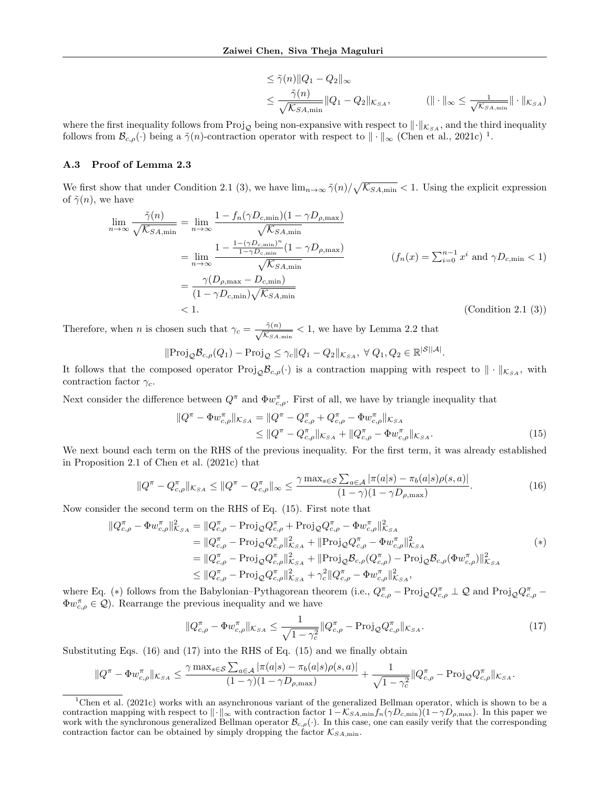$$
\leq \tilde{\gamma}(n) \|Q_1 - Q_2\|_{\infty}
$$
  

$$
\leq \frac{\tilde{\gamma}(n)}{\sqrt{\mathcal{K}_{SA,min}}} \|Q_1 - Q_2\|_{\mathcal{K}_{SA}}, \qquad (\|\cdot\|_{\infty} \leq \frac{1}{\sqrt{\mathcal{K}_{SA,min}}} \|\cdot\|_{\mathcal{K}_{SA}})
$$

where the first inequality follows from Proj<sub>Q</sub> being non-expansive with respect to  $\|\cdot\|_{K_{SA}}$ , and the third inequality follows from  $\mathcal{B}_{c,\rho}(\cdot)$  being a  $\tilde{\gamma}(n)$ -contraction operator with respect to  $\|\cdot\|_{\infty}$  [\(Chen et al.,](#page-9-9) [2021c\)](#page-9-9)<sup>[1](#page-12-0)</sup>.

#### A.3 Proof of Lemma [2.3](#page-4-6)

We first show that under Condition [2.1](#page-3-1) (3), we have  $\lim_{n\to\infty} \tilde{\gamma}(n)/\sqrt{\mathcal{K}_{SA,min}} < 1$ . Using the explicit expression of  $\tilde{\gamma}(n)$ , we have

$$
\lim_{n \to \infty} \frac{\tilde{\gamma}(n)}{\sqrt{\mathcal{K}_{SA,min}}} = \lim_{n \to \infty} \frac{1 - f_n(\gamma D_{c,\min})(1 - \gamma D_{\rho,\max})}{\sqrt{\mathcal{K}_{SA,min}}}
$$
\n
$$
= \lim_{n \to \infty} \frac{1 - \frac{1 - (\gamma D_{c,\min})^n}{1 - \gamma D_{c,\min}} (1 - \gamma D_{\rho,\max})}{\sqrt{\mathcal{K}_{SA,\min}}} \qquad (f_n(x) = \sum_{i=0}^{n-1} x^i \text{ and } \gamma D_{c,\min} < 1)
$$
\n
$$
= \frac{\gamma(D_{\rho,\max} - D_{c,\min})}{(1 - \gamma D_{c,\min})\sqrt{\mathcal{K}_{SA,\min}}} \qquad (f_n(x) = \sum_{i=0}^{n-1} x^i \text{ and } \gamma D_{c,\min} < 1)
$$
\n
$$
< 1. \qquad \text{(Condition 2.1 (3))}
$$

Therefore, when *n* is chosen such that  $\gamma_c = -\frac{\tilde{\gamma}(n)}{\sqrt{n}}$  $\frac{\gamma(n)}{\mathcal{K}_{SA,min}} < 1$ , we have by Lemma [2.2](#page-3-2) that

$$
\|\text{Proj}_{\mathcal{Q}}\mathcal{B}_{c,\rho}(Q_1) - \text{Proj}_{\mathcal{Q}} \leq \gamma_c \|Q_1 - Q_2\|_{\mathcal{K}_{SA}}, \ \forall \ Q_1, Q_2 \in \mathbb{R}^{|\mathcal{S}||\mathcal{A}|}.
$$

It follows that the composed operator Proj<sub>Q</sub> $\mathcal{B}_{c,\rho}(\cdot)$  is a contraction mapping with respect to  $\|\cdot\|_{\mathcal{K}_{SA}}$ , with contraction factor  $\gamma_c$ .

Next consider the difference between  $Q^{\pi}$  and  $\Phi w_{c,\rho}^{\pi}$ . First of all, we have by triangle inequality that

<span id="page-12-2"></span><span id="page-12-1"></span>
$$
\|Q^{\pi} - \Phi w_{c,\rho}^{\pi}\|_{\mathcal{K}_{SA}} = \|Q^{\pi} - Q_{c,\rho}^{\pi} + Q_{c,\rho}^{\pi} - \Phi w_{c,\rho}^{\pi}\|_{\mathcal{K}_{SA}} \le \|Q^{\pi} - Q_{c,\rho}^{\pi}\|_{\mathcal{K}_{SA}} + \|Q_{c,\rho}^{\pi} - \Phi w_{c,\rho}^{\pi}\|_{\mathcal{K}_{SA}}.
$$
\n(15)

We next bound each term on the RHS of the previous inequality. For the first term, it was already established in Proposition 2.1 of [Chen et al.](#page-9-9) [\(2021c\)](#page-9-9) that

$$
||Q^{\pi} - Q_{c,\rho}^{\pi}||_{\mathcal{K}_{SA}} \le ||Q^{\pi} - Q_{c,\rho}^{\pi}||_{\infty} \le \frac{\gamma \max_{s \in \mathcal{S}} \sum_{a \in \mathcal{A}} |\pi(a|s) - \pi_b(a|s)\rho(s,a)|}{(1 - \gamma)(1 - \gamma D_{\rho,\max})}.
$$
(16)

Now consider the second term on the RHS of Eq. [\(15\)](#page-12-1). First note that

$$
\|Q_{c,\rho}^{\pi} - \Phi w_{c,\rho}^{\pi}\|_{K_{SA}}^2 = \|Q_{c,\rho}^{\pi} - \text{Proj}_{\mathcal{Q}} Q_{c,\rho}^{\pi} + \text{Proj}_{\mathcal{Q}} Q_{c,\rho}^{\pi} - \Phi w_{c,\rho}^{\pi}\|_{K_{SA}}^2 \n= \|Q_{c,\rho}^{\pi} - \text{Proj}_{\mathcal{Q}} Q_{c,\rho}^{\pi}\|_{K_{SA}}^2 + \|\text{Proj}_{\mathcal{Q}} Q_{c,\rho}^{\pi} - \Phi w_{c,\rho}^{\pi}\|_{K_{SA}}^2 \n= \|Q_{c,\rho}^{\pi} - \text{Proj}_{\mathcal{Q}} Q_{c,\rho}^{\pi}\|_{K_{SA}}^2 + \|\text{Proj}_{\mathcal{Q}} B_{c,\rho} (Q_{c,\rho}^{\pi}) - \text{Proj}_{\mathcal{Q}} B_{c,\rho} (\Phi w_{c,\rho}^{\pi})\|_{K_{SA}}^2 \n\le \|Q_{c,\rho}^{\pi} - \text{Proj}_{\mathcal{Q}} Q_{c,\rho}^{\pi}\|_{K_{SA}}^2 + \gamma_c^2 \|Q_{c,\rho}^{\pi} - \Phi w_{c,\rho}^{\pi}\|_{K_{SA}}^2,
$$
\n
$$
(*)
$$

where Eq. (\*) follows from the Babylonian–Pythagorean theorem (i.e.,  $Q_{c,\rho}^{\pi}$  – Proj $_{\mathcal{Q}}Q_{c,\rho}^{\pi} \perp \mathcal{Q}$  and Proj $_{\mathcal{Q}}Q_{c,\rho}^{\pi}$  –  $\Phi w_{c,\rho}^{\pi} \in \mathcal{Q}$ . Rearrange the previous inequality and we have

<span id="page-12-3"></span>
$$
||Q_{c,\rho}^{\pi} - \Phi w_{c,\rho}^{\pi}||_{\mathcal{K}_{SA}} \le \frac{1}{\sqrt{1 - \gamma_c^2}} ||Q_{c,\rho}^{\pi} - \text{Proj}_{\mathcal{Q}} Q_{c,\rho}^{\pi}||_{\mathcal{K}_{SA}}.
$$
\n(17)

Substituting Eqs. [\(16\)](#page-12-2) and [\(17\)](#page-12-3) into the RHS of Eq. [\(15\)](#page-12-1) and we finally obtain

$$
||Q^{\pi} - \Phi w_{c,\rho}^{\pi}||_{\mathcal{K}_{SA}} \leq \frac{\gamma \max_{s \in S} \sum_{a \in \mathcal{A}} |\pi(a|s) - \pi_b(a|s)\rho(s,a)|}{(1-\gamma)(1-\gamma D_{\rho,\max})} + \frac{1}{\sqrt{1-\gamma_c^2}} ||Q_{c,\rho}^{\pi} - \text{Proj}_{\mathcal{Q}} Q_{c,\rho}^{\pi}||_{\mathcal{K}_{SA}}.
$$

<span id="page-12-0"></span><sup>1</sup>[Chen et al.](#page-9-9) [\(2021c\)](#page-9-9) works with an asynchronous variant of the generalized Bellman operator, which is shown to be a contraction mapping with respect to  $\|\cdot\|_{\infty}$  with contraction factor  $1-\mathcal{K}_{SA,min}f_n(\gamma D_{c,min})(1-\gamma D_{\rho,\text{max}})$ . In this paper we work with the synchronous generalized Bellman operator  $\mathcal{B}_{c,\rho}(\cdot)$ . In this case, one can easily verify that the corresponding contraction factor can be obtained by simply dropping the factor  $\mathcal{K}_{SA,\text{min}}$ .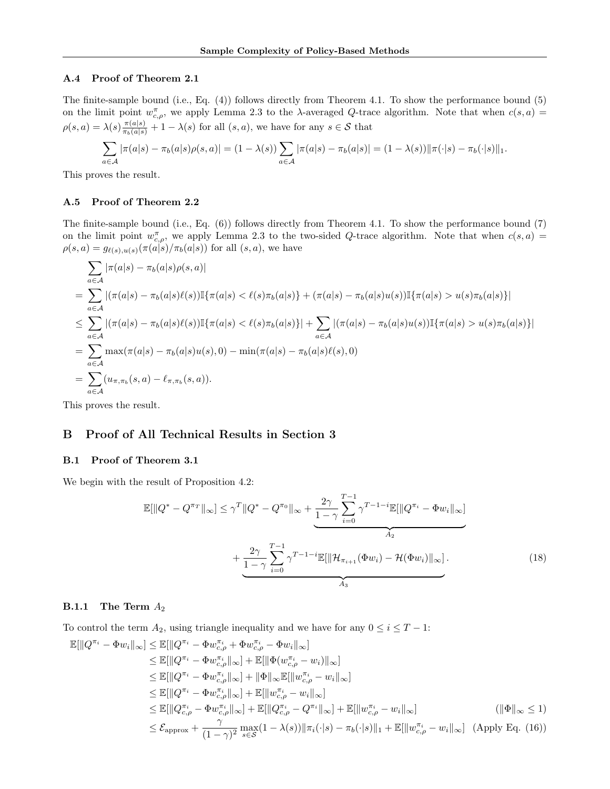#### A.4 Proof of Theorem [2.1](#page-4-5)

The finite-sample bound (i.e., Eq. [\(4\)](#page-4-2)) follows directly from Theorem [4.1.](#page-7-0) To show the performance bound [\(5\)](#page-4-3) on the limit point  $w_{c,\rho}^{\pi}$ , we apply Lemma [2.3](#page-4-6) to the  $\lambda$ -averaged Q-trace algorithm. Note that when  $c(s, a)$  $\rho(s,a) = \lambda(s) \frac{\pi(a|s)}{\pi_b(a|s)} + 1 - \lambda(s)$  for all  $(s,a)$ , we have for any  $s \in \mathcal{S}$  that

$$
\sum_{a \in \mathcal{A}} |\pi(a|s) - \pi_b(a|s)\rho(s,a)| = (1 - \lambda(s)) \sum_{a \in \mathcal{A}} |\pi(a|s) - \pi_b(a|s)| = (1 - \lambda(s)) ||\pi(\cdot|s) - \pi_b(\cdot|s)||_1.
$$

This proves the result.

#### A.5 Proof of Theorem [2.2](#page-4-4)

The finite-sample bound (i.e., Eq. [\(6\)](#page-5-3)) follows directly from Theorem [4.1.](#page-7-0) To show the performance bound [\(7\)](#page-5-1) on the limit point  $w_{c,\rho}^{\pi}$ , we apply Lemma [2.3](#page-4-6) to the two-sided Q-trace algorithm. Note that when  $c(s, a)$  $\rho(s, a) = g_{\ell(s), u(s)}(\pi(a|s)/\pi_b(a|s))$  for all  $(s, a)$ , we have

$$
\sum_{a \in A} |\pi(a|s) - \pi_b(a|s)\rho(s, a)|
$$
\n
$$
= \sum_{a \in A} |(\pi(a|s) - \pi_b(a|s)\ell(s))\mathbb{I}\{\pi(a|s) < \ell(s)\pi_b(a|s)\} + (\pi(a|s) - \pi_b(a|s)u(s))\mathbb{I}\{\pi(a|s) > u(s)\pi_b(a|s)\}|
$$
\n
$$
\leq \sum_{a \in A} |(\pi(a|s) - \pi_b(a|s)\ell(s))\mathbb{I}\{\pi(a|s) < \ell(s)\pi_b(a|s)\}| + \sum_{a \in A} |(\pi(a|s) - \pi_b(a|s)u(s))\mathbb{I}\{\pi(a|s) > u(s)\pi_b(a|s)\}|
$$
\n
$$
= \sum_{a \in A} \max(\pi(a|s) - \pi_b(a|s)u(s), 0) - \min(\pi(a|s) - \pi_b(a|s)\ell(s), 0)
$$
\n
$$
= \sum_{a \in A} (u_{\pi,\pi_b}(s, a) - \ell_{\pi,\pi_b}(s, a)).
$$

This proves the result.

## B Proof of All Technical Results in Section [3](#page-5-0)

#### <span id="page-13-0"></span>B.1 Proof of Theorem [3.1](#page-6-2)

We begin with the result of Proposition [4.2:](#page-8-1)

<span id="page-13-1"></span>
$$
\mathbb{E}[\|Q^* - Q^{\pi_T}\|_{\infty}] \leq \gamma^T \|Q^* - Q^{\pi_0}\|_{\infty} + \underbrace{\frac{2\gamma}{1-\gamma} \sum_{i=0}^{T-1} \gamma^{T-1-i} \mathbb{E}[\|Q^{\pi_i} - \Phi w_i\|_{\infty}]}_{A_2} + \underbrace{\frac{2\gamma}{1-\gamma} \sum_{i=0}^{T-1} \gamma^{T-1-i} \mathbb{E}[\|\mathcal{H}_{\pi_{i+1}}(\Phi w_i) - \mathcal{H}(\Phi w_i)\|_{\infty}]}_{A_3}.
$$
\n(18)

## **B.1.1** The Term  $A_2$

To control the term  $A_2$ , using triangle inequality and we have for any  $0 \le i \le T - 1$ :

$$
\mathbb{E}[\|Q^{\pi_{i}} - \Phi w_{i}\|_{\infty}] \leq \mathbb{E}[\|Q^{\pi_{i}} - \Phi w_{c,\rho}^{\pi_{i}} + \Phi w_{c,\rho}^{\pi_{i}} - \Phi w_{i}\|_{\infty}] \n\leq \mathbb{E}[\|Q^{\pi_{i}} - \Phi w_{c,\rho}^{\pi_{i}}\|_{\infty}] + \mathbb{E}[\|\Phi(w_{c,\rho}^{\pi_{i}} - w_{i})\|_{\infty}] \n\leq \mathbb{E}[\|Q^{\pi_{i}} - \Phi w_{c,\rho}^{\pi_{i}}\|_{\infty}] + \|\Phi\|_{\infty} \mathbb{E}[\|w_{c,\rho}^{\pi_{i}} - w_{i}\|_{\infty}] \n\leq \mathbb{E}[\|Q^{\pi_{i}} - \Phi w_{c,\rho}^{\pi_{i}}\|_{\infty}] + \mathbb{E}[\|w_{c,\rho}^{\pi_{i}} - w_{i}\|_{\infty}] \n\leq \mathbb{E}[\|Q^{\pi_{i}} - \Phi w_{c,\rho}^{\pi_{i}}\|_{\infty}] + \mathbb{E}[\|Q^{\pi_{i}}_{c,\rho} - Q^{\pi_{i}}\|_{\infty}] + \mathbb{E}[\|w_{c,\rho}^{\pi_{i}} - w_{i}\|_{\infty}] \n\leq \mathcal{E}_{\text{approx}} + \frac{\gamma}{(1-\gamma)^{2}} \max_{s \in \mathcal{S}} (1-\lambda(s)) \|\pi_{i}(\cdot|s) - \pi_{b}(\cdot|s)\|_{1} + \mathbb{E}[\|w_{c,\rho}^{\pi_{i}} - w_{i}\|_{\infty}] \quad \text{(Apply Eq. (16))}
$$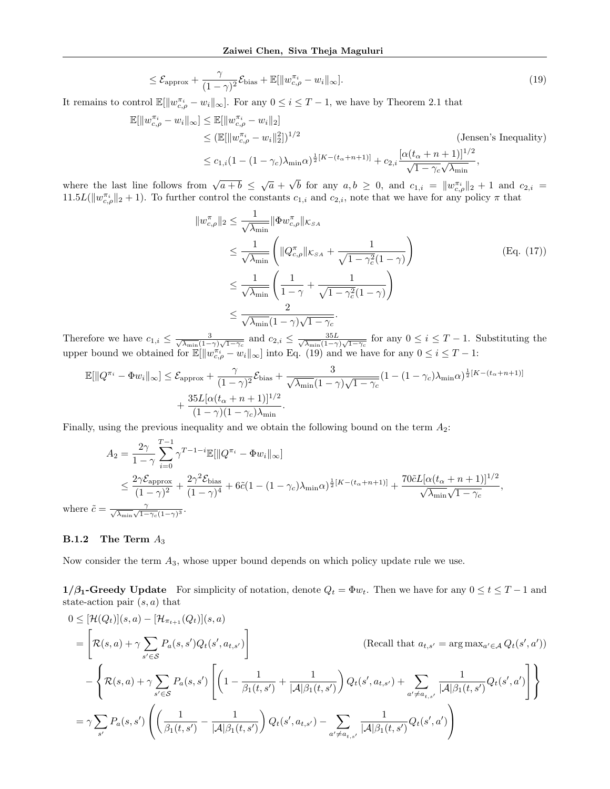$$
\leq \mathcal{E}_{\text{approx}} + \frac{\gamma}{(1-\gamma)^2} \mathcal{E}_{\text{bias}} + \mathbb{E}[\|w_{c,\rho}^{\pi_i} - w_i\|_{\infty}].
$$
\n(19)

It remains to control  $\mathbb{E}[\|w_{c,\rho}^{\pi_i} - w_i\|_{\infty}]$ . For any  $0 \leq i \leq T-1$ , we have by Theorem [2.1](#page-4-5) that

$$
\mathbb{E}[\|w_{c,\rho}^{\pi_i} - w_i\|_{\infty}] \le \mathbb{E}[\|w_{c,\rho}^{\pi_i} - w_i\|_{2}]\n\n\le (\mathbb{E}[\|w_{c,\rho}^{\pi_i} - w_i\|_{2}^{2}])^{1/2}\n\n\le c_{1,i}(1 - (1 - \gamma_c)\lambda_{\min}\alpha)^{\frac{1}{2}[K - (t_{\alpha} + n + 1)]} + c_{2,i}\frac{[\alpha(t_{\alpha} + n + 1)]^{1/2}}{\sqrt{1 - \gamma_c}\sqrt{\lambda_{\min}}},
$$
\n(Jensen's Inequality)

where the last line follows from  $\sqrt{a+b} \leq \sqrt{a}$  + √ b for any  $a, b \geq 0$ , and  $c_{1,i} = ||w_{c,\rho}^{\pi_i}||_2 + 1$  and  $c_{2,i} =$  $11.5L(\|w_{c,\rho}^{\pi_i}\|_2+1)$ . To further control the constants  $c_{1,i}$  and  $c_{2,i}$ , note that we have for any policy  $\pi$  that

<span id="page-14-0"></span>
$$
||w_{c,\rho}^{\pi}||_2 \le \frac{1}{\sqrt{\lambda_{\min}}} ||\Phi w_{c,\rho}^{\pi}||_{\mathcal{K}_{SA}}
$$
  
\n
$$
\le \frac{1}{\sqrt{\lambda_{\min}}} \left( ||Q_{c,\rho}^{\pi}||_{\mathcal{K}_{SA}} + \frac{1}{\sqrt{1 - \gamma_c^2}(1 - \gamma)} \right)
$$
  
\n
$$
\le \frac{1}{\sqrt{\lambda_{\min}}} \left( \frac{1}{1 - \gamma} + \frac{1}{\sqrt{1 - \gamma_c^2}(1 - \gamma)} \right)
$$
  
\n
$$
\le \frac{2}{\sqrt{\lambda_{\min}}(1 - \gamma)\sqrt{1 - \gamma_c}}.
$$
  
\n(Eq. (17))

Therefore we have  $c_{1,i} \leq \frac{3}{\sqrt{\lambda - (1 - \lambda)}}$  $\frac{3}{\lambda_{\min}(1-\gamma)\sqrt{1-\gamma_c}}$  and  $c_{2,i} \leq \frac{35L}{\sqrt{\lambda_{\min}(1-\gamma)}}$  $\frac{35L}{\lambda_{\min}(1-\gamma)\sqrt{1-\gamma_c}}$  for any  $0 \leq i \leq T-1$ . Substituting the upper bound we obtained for  $\mathbb{E}[\|w_{c,\rho}^{\pi_i} - w_i\|_{\infty}]$  into Eq. [\(19\)](#page-14-0) and we have for any  $0 \leq i \leq T-1$ :

$$
\mathbb{E}[\|Q^{\pi_i} - \Phi w_i\|_{\infty}] \leq \mathcal{E}_{\text{approx}} + \frac{\gamma}{(1-\gamma)^2} \mathcal{E}_{\text{bias}} + \frac{3}{\sqrt{\lambda_{\min}} (1-\gamma)\sqrt{1-\gamma_c}} (1 - (1-\gamma_c)\lambda_{\min}\alpha)^{\frac{1}{2}[K - (t_{\alpha} + n + 1)]} + \frac{35L[\alpha(t_{\alpha} + n + 1)]^{1/2}}{(1-\gamma)(1-\gamma_c)\lambda_{\min}}.
$$

Finally, using the previous inequality and we obtain the following bound on the term  $A_2$ :

$$
A_2 = \frac{2\gamma}{1-\gamma} \sum_{i=0}^{T-1} \gamma^{T-1-i} \mathbb{E}[\|Q^{\pi_i} - \Phi w_i\|_{\infty}]
$$
  

$$
\leq \frac{2\gamma \mathcal{E}_{\text{approx}}}{(1-\gamma)^2} + \frac{2\gamma^2 \mathcal{E}_{\text{bias}}}{(1-\gamma)^4} + 6\tilde{c}(1-(1-\gamma_c)\lambda_{\min}\alpha)^{\frac{1}{2}[K-(t_{\alpha}+n+1)]} + \frac{70\tilde{c}L[\alpha(t_{\alpha}+n+1)]^{1/2}}{\sqrt{\lambda_{\min}}\sqrt{1-\gamma_c}},
$$
  
where  $\tilde{c} = \frac{\gamma}{\sqrt{\lambda_{\min}}\sqrt{1-\gamma_c}(1-\gamma)^3}.$ 

#### **B.1.2** The Term  $A_3$

Now consider the term  $A_3$ , whose upper bound depends on which policy update rule we use.

1/ $\beta_1$ -Greedy Update For simplicity of notation, denote  $Q_t = \Phi w_t$ . Then we have for any  $0 \le t \le T-1$  and state-action pair  $(s, a)$  that

$$
0 \leq [\mathcal{H}(Q_t)](s, a) - [\mathcal{H}_{\pi_{t+1}}(Q_t)](s, a)
$$
\n
$$
= \left[ \mathcal{R}(s, a) + \gamma \sum_{s' \in \mathcal{S}} P_a(s, s') Q_t(s', a_{t, s'}) \right]
$$
\n(Recall that  $a_{t, s'} = \arg \max_{a' \in \mathcal{A}} Q_t(s', a'))$   
\n
$$
- \left\{ \mathcal{R}(s, a) + \gamma \sum_{s' \in \mathcal{S}} P_a(s, s') \left[ \left( 1 - \frac{1}{\beta_1(t, s')} + \frac{1}{|\mathcal{A}|\beta_1(t, s')} \right) Q_t(s', a_{t, s'}) + \sum_{a' \neq a_{t, s'}} \frac{1}{|\mathcal{A}|\beta_1(t, s')} Q_t(s', a') \right] \right\}
$$
\n
$$
= \gamma \sum_{s'} P_a(s, s') \left( \left( \frac{1}{\beta_1(t, s')} - \frac{1}{|\mathcal{A}|\beta_1(t, s')} \right) Q_t(s', a_{t, s'}) - \sum_{a' \neq a_{t, s'}} \frac{1}{|\mathcal{A}|\beta_1(t, s')} Q_t(s', a') \right)
$$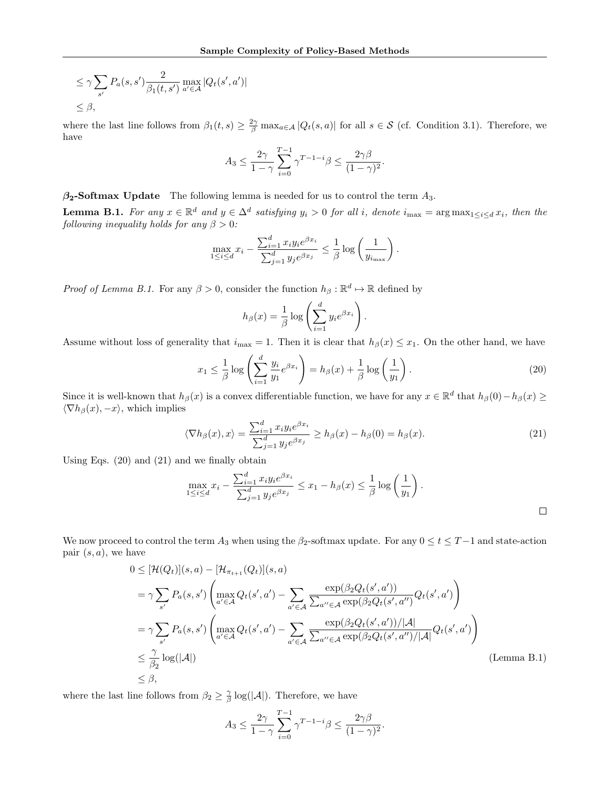$$
\leq \gamma \sum_{s'} P_a(s, s') \frac{2}{\beta_1(t, s')} \max_{a' \in \mathcal{A}} |Q_t(s', a')|
$$
  

$$
\leq \beta,
$$

where the last line follows from  $\beta_1(t,s) \geq \frac{2\gamma}{\beta} \max_{a \in \mathcal{A}} |Q_t(s,a)|$  for all  $s \in \mathcal{S}$  (cf. Condition [3.1\)](#page-6-1). Therefore, we have

$$
A_3 \le \frac{2\gamma}{1-\gamma} \sum_{i=0}^{T-1} \gamma^{T-1-i} \beta \le \frac{2\gamma\beta}{(1-\gamma)^2}.
$$

 $\beta_2$ -Softmax Update The following lemma is needed for us to control the term  $A_3$ .

<span id="page-15-0"></span>**Lemma B.1.** For any  $x \in \mathbb{R}^d$  and  $y \in \Delta^d$  satisfying  $y_i > 0$  for all i, denote  $i_{\max} = \arg \max_{1 \le i \le d} x_i$ , then the following inequality holds for any  $\beta > 0$ :

$$
\max_{1 \le i \le d} x_i - \frac{\sum_{i=1}^d x_i y_i e^{\beta x_i}}{\sum_{j=1}^d y_j e^{\beta x_j}} \le \frac{1}{\beta} \log \left( \frac{1}{y_{i_{\max}}} \right).
$$

*Proof of Lemma [B.1.](#page-15-0)* For any  $\beta > 0$ , consider the function  $h_{\beta}: \mathbb{R}^d \mapsto \mathbb{R}$  defined by

<span id="page-15-2"></span><span id="page-15-1"></span>
$$
h_{\beta}(x) = \frac{1}{\beta} \log \left( \sum_{i=1}^{d} y_i e^{\beta x_i} \right).
$$

Assume without loss of generality that  $i_{\text{max}} = 1$ . Then it is clear that  $h_{\beta}(x) \leq x_1$ . On the other hand, we have

$$
x_1 \le \frac{1}{\beta} \log \left( \sum_{i=1}^d \frac{y_i}{y_1} e^{\beta x_i} \right) = h_\beta(x) + \frac{1}{\beta} \log \left( \frac{1}{y_1} \right). \tag{20}
$$

Since it is well-known that  $h_\beta(x)$  is a convex differentiable function, we have for any  $x \in \mathbb{R}^d$  that  $h_\beta(0) - h_\beta(x) \ge$  $\langle \nabla h_\beta(x), -x \rangle$ , which implies

$$
\langle \nabla h_{\beta}(x), x \rangle = \frac{\sum_{i=1}^{d} x_i y_i e^{\beta x_i}}{\sum_{j=1}^{d} y_j e^{\beta x_j}} \ge h_{\beta}(x) - h_{\beta}(0) = h_{\beta}(x). \tag{21}
$$

Using Eqs. [\(20\)](#page-15-1) and [\(21\)](#page-15-2) and we finally obtain

$$
\max_{1 \le i \le d} x_i - \frac{\sum_{i=1}^d x_i y_i e^{\beta x_i}}{\sum_{j=1}^d y_j e^{\beta x_j}} \le x_1 - h_\beta(x) \le \frac{1}{\beta} \log \left( \frac{1}{y_1} \right).
$$

We now proceed to control the term  $A_3$  when using the  $\beta_2$ -softmax update. For any  $0 \le t \le T-1$  and state-action pair  $(s, a)$ , we have

$$
0 \leq [\mathcal{H}(Q_t)](s, a) - [\mathcal{H}_{\pi_{t+1}}(Q_t)](s, a)
$$
  
\n
$$
= \gamma \sum_{s'} P_a(s, s') \left( \max_{a' \in \mathcal{A}} Q_t(s', a') - \sum_{a' \in \mathcal{A}} \frac{\exp(\beta_2 Q_t(s', a'))}{\sum_{a' \in \mathcal{A}} \exp(\beta_2 Q_t(s', a'')} Q_t(s', a') \right)
$$
  
\n
$$
= \gamma \sum_{s'} P_a(s, s') \left( \max_{a' \in \mathcal{A}} Q_t(s', a') - \sum_{a' \in \mathcal{A}} \frac{\exp(\beta_2 Q_t(s', a')) / |\mathcal{A}|}{\sum_{a'' \in \mathcal{A}} \exp(\beta_2 Q_t(s', a'') / |\mathcal{A}|} Q_t(s', a') \right)
$$
  
\n
$$
\leq \frac{\gamma}{\beta_2} \log(|\mathcal{A}|)
$$
  
\n
$$
\leq \beta,
$$
 (Lemma B.1)

where the last line follows from  $\beta_2 \geq \frac{\gamma}{\beta} \log(|\mathcal{A}|)$ . Therefore, we have

$$
A_3 \le \frac{2\gamma}{1-\gamma} \sum_{i=0}^{T-1} \gamma^{T-1-i} \beta \le \frac{2\gamma\beta}{(1-\gamma)^2}.
$$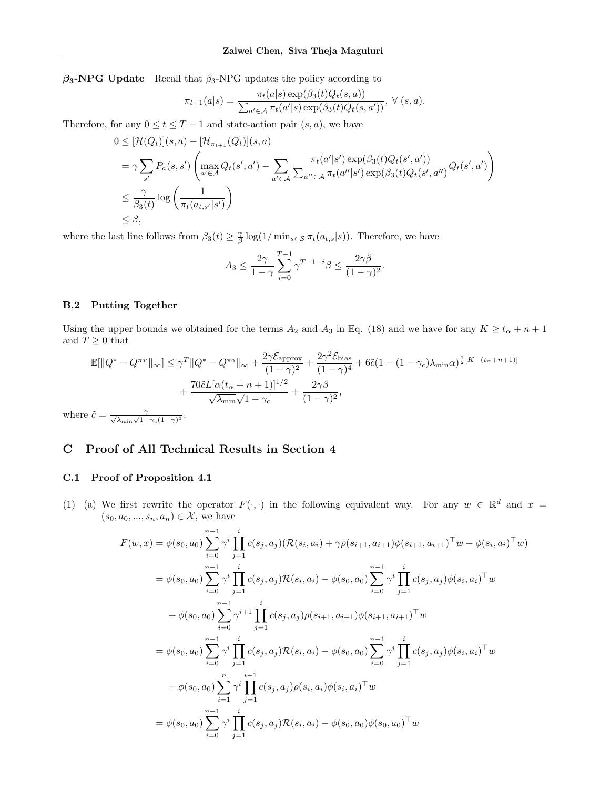$\beta_3$ -NPG Update Recall that  $\beta_3$ -NPG updates the policy according to

$$
\pi_{t+1}(a|s) = \frac{\pi_t(a|s) \exp(\beta_3(t)Q_t(s, a))}{\sum_{a' \in \mathcal{A}} \pi_t(a'|s) \exp(\beta_3(t)Q_t(s, a'))}, \ \forall (s, a).
$$

Therefore, for any  $0 \le t \le T - 1$  and state-action pair  $(s, a)$ , we have

$$
0 \leq [\mathcal{H}(Q_t)](s, a) - [\mathcal{H}_{\pi_{t+1}}(Q_t)](s, a)
$$
  
\n
$$
= \gamma \sum_{s'} P_a(s, s') \left( \max_{a' \in \mathcal{A}} Q_t(s', a') - \sum_{a' \in \mathcal{A}} \frac{\pi_t(a'|s') \exp(\beta_3(t)Q_t(s', a'))}{\sum_{a' \in \mathcal{A}} \pi_t(a''|s') \exp(\beta_3(t)Q_t(s', a'')} Q_t(s', a') \right)
$$
  
\n
$$
\leq \frac{\gamma}{\beta_3(t)} \log \left( \frac{1}{\pi_t(a_{t,s'}|s')} \right)
$$
  
\n
$$
\leq \beta,
$$

where the last line follows from  $\beta_3(t) \geq \frac{\gamma}{\beta} \log(1/\min_{s \in \mathcal{S}} \pi_t(a_{t,s}|s))$ . Therefore, we have

$$
A_3 \le \frac{2\gamma}{1-\gamma} \sum_{i=0}^{T-1} \gamma^{T-1-i} \beta \le \frac{2\gamma\beta}{(1-\gamma)^2}.
$$

### B.2 Putting Together

Using the upper bounds we obtained for the terms  $A_2$  and  $A_3$  in Eq. [\(18\)](#page-13-1) and we have for any  $K \ge t_\alpha + n + 1$ and  $T\geq 0$  that

$$
\mathbb{E}[\|Q^* - Q^{\pi_T}\|_{\infty}] \leq \gamma^T \|Q^* - Q^{\pi_0}\|_{\infty} + \frac{2\gamma \mathcal{E}_{\text{approx}}}{(1-\gamma)^2} + \frac{2\gamma^2 \mathcal{E}_{\text{bias}}}{(1-\gamma)^4} + 6\tilde{c}(1 - (1-\gamma_c)\lambda_{\min}\alpha)^{\frac{1}{2}[K - (t_{\alpha} + n + 1)]} + \frac{70\tilde{c}L[\alpha(t_{\alpha} + n + 1)]^{1/2}}{\sqrt{\lambda_{\min}}\sqrt{1-\gamma_c}} + \frac{2\gamma\beta}{(1-\gamma)^2},
$$
  
where  $\tilde{c} = \frac{\gamma}{\sqrt{\lambda_{\min}}\sqrt{1-\gamma_c}(1-\gamma)^3}.$ 

# C Proof of All Technical Results in Section [4](#page-7-2)

## C.1 Proof of Proposition [4.1](#page-8-0)

(1) (a) We first rewrite the operator  $F(\cdot, \cdot)$  in the following equivalent way. For any  $w \in \mathbb{R}^d$  and  $x =$  $(s_0, a_0, ..., s_n, a_n) \in \mathcal{X}$ , we have

$$
F(w, x) = \phi(s_0, a_0) \sum_{i=0}^{n-1} \gamma^i \prod_{j=1}^i c(s_j, a_j) (\mathcal{R}(s_i, a_i) + \gamma \rho(s_{i+1}, a_{i+1}) \phi(s_{i+1}, a_{i+1})^\top w - \phi(s_i, a_i)^\top w)
$$
  
\n
$$
= \phi(s_0, a_0) \sum_{i=0}^{n-1} \gamma^i \prod_{j=1}^i c(s_j, a_j) \mathcal{R}(s_i, a_i) - \phi(s_0, a_0) \sum_{i=0}^{n-1} \gamma^i \prod_{j=1}^i c(s_j, a_j) \phi(s_i, a_i)^\top w
$$
  
\n
$$
+ \phi(s_0, a_0) \sum_{i=0}^{n-1} \gamma^{i+1} \prod_{j=1}^i c(s_j, a_j) \rho(s_{i+1}, a_{i+1}) \phi(s_{i+1}, a_{i+1})^\top w
$$
  
\n
$$
= \phi(s_0, a_0) \sum_{i=0}^{n-1} \gamma^i \prod_{j=1}^i c(s_j, a_j) \mathcal{R}(s_i, a_i) - \phi(s_0, a_0) \sum_{i=0}^{n-1} \gamma^i \prod_{j=1}^i c(s_j, a_j) \phi(s_i, a_i)^\top w
$$
  
\n
$$
+ \phi(s_0, a_0) \sum_{i=1}^n \gamma^i \prod_{j=1}^{i-1} c(s_j, a_j) \rho(s_i, a_i) \phi(s_i, a_i)^\top w
$$
  
\n
$$
= \phi(s_0, a_0) \sum_{i=0}^{n-1} \gamma^i \prod_{j=1}^i c(s_j, a_j) \mathcal{R}(s_i, a_i) - \phi(s_0, a_0) \phi(s_0, a_0)^\top w
$$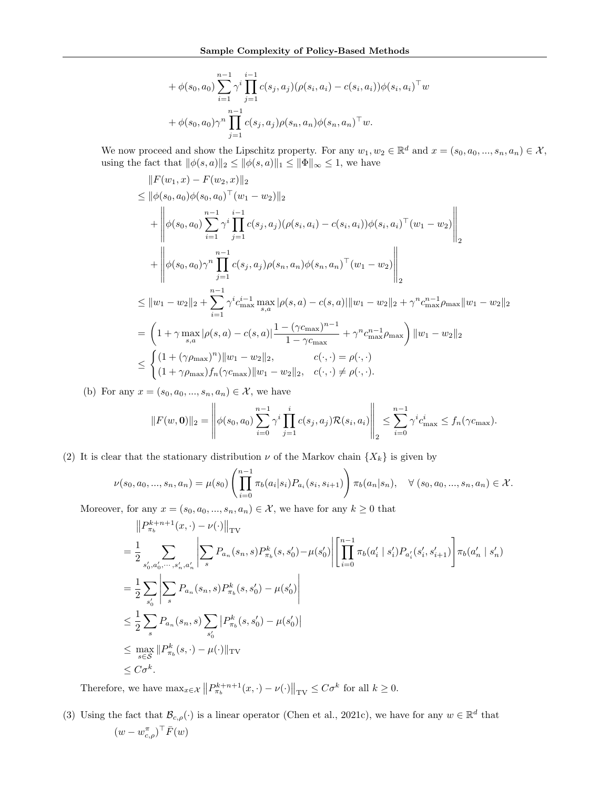+ 
$$
\phi(s_0, a_0) \sum_{i=1}^{n-1} \gamma^i \prod_{j=1}^{i-1} c(s_j, a_j) (\rho(s_i, a_i) - c(s_i, a_i)) \phi(s_i, a_i)^\top w
$$
  
+  $\phi(s_0, a_0) \gamma^n \prod_{j=1}^{n-1} c(s_j, a_j) \rho(s_n, a_n) \phi(s_n, a_n)^\top w$ .

We now proceed and show the Lipschitz property. For any  $w_1, w_2 \in \mathbb{R}^d$  and  $x = (s_0, a_0, ..., s_n, a_n) \in \mathcal{X}$ , using the fact that  $\|\phi(s, a)\|_2 \le \|\phi(s, a)\|_1 \le \|\Phi\|_{\infty} \le 1$ , we have

$$
||F(w_1, x) - F(w_2, x)||_2
$$
  
\n
$$
\leq ||\phi(s_0, a_0)\phi(s_0, a_0)^\top (w_1 - w_2)||_2
$$
  
\n
$$
+ \left\| \phi(s_0, a_0) \sum_{i=1}^{n-1} \gamma^i \prod_{j=1}^{i-1} c(s_j, a_j) (\rho(s_i, a_i) - c(s_i, a_i)) \phi(s_i, a_i)^\top (w_1 - w_2) \right\|_2
$$
  
\n
$$
+ \left\| \phi(s_0, a_0)\gamma^n \prod_{j=1}^{n-1} c(s_j, a_j) \rho(s_n, a_n) \phi(s_n, a_n)^\top (w_1 - w_2) \right\|_2
$$
  
\n
$$
\leq ||w_1 - w_2||_2 + \sum_{i=1}^{n-1} \gamma^i c_{\text{max}}^{i-1} \max_{s, a} |\rho(s, a) - c(s, a)| ||w_1 - w_2||_2 + \gamma^n c_{\text{max}}^{n-1} \rho_{\text{max}} ||w_1 - w_2||_2
$$
  
\n
$$
= \left(1 + \gamma \max_{s, a} |\rho(s, a) - c(s, a)| \frac{1 - (\gamma c_{\text{max}})^{n-1}}{1 - \gamma c_{\text{max}}} + \gamma^n c_{\text{max}}^{n-1} \rho_{\text{max}}\right) ||w_1 - w_2||_2
$$
  
\n
$$
\leq \begin{cases} (1 + (\gamma \rho_{\text{max}})^n) ||w_1 - w_2||_2, & c(\cdot, \cdot) = \rho(\cdot, \cdot) \\ (1 + \gamma \rho_{\text{max}}) f_n(\gamma c_{\text{max}}) ||w_1 - w_2||_2, & c(\cdot, \cdot) \neq \rho(\cdot, \cdot). \end{cases}
$$

(b) For any  $x = (s_0, a_0, ..., s_n, a_n) \in \mathcal{X}$ , we have

$$
||F(w, \mathbf{0})||_2 = \left\| \phi(s_0, a_0) \sum_{i=0}^{n-1} \gamma^i \prod_{j=1}^i c(s_j, a_j) \mathcal{R}(s_i, a_i) \right\|_2 \le \sum_{i=0}^{n-1} \gamma^i c_{\text{max}}^i \le f_n(\gamma c_{\text{max}}).
$$

(2) It is clear that the stationary distribution  $\nu$  of the Markov chain  $\{X_k\}$  is given by

$$
\nu(s_0, a_0, ..., s_n, a_n) = \mu(s_0) \left( \prod_{i=0}^{n-1} \pi_b(a_i | s_i) P_{a_i}(s_i, s_{i+1}) \right) \pi_b(a_n | s_n), \quad \forall (s_0, a_0, ..., s_n, a_n) \in \mathcal{X}.
$$

Moreover, for any  $x = (s_0, a_0, ..., s_n, a_n) \in \mathcal{X}$ , we have for any  $k \geq 0$  that

$$
\|P_{\pi_b}^{k+n+1}(x,\cdot) - \nu(\cdot)\|_{\text{TV}}
$$
\n
$$
= \frac{1}{2} \sum_{s'_0, a'_0, \dots, s'_n, a'_n} \left| \sum_s P_{a_n}(s_n, s) P_{\pi_b}^k(s, s'_0) - \mu(s'_0) \right| \left[ \prod_{i=0}^{n-1} \pi_b(a'_i \mid s'_i) P_{a'_i}(s'_i, s'_{i+1}) \right] \pi_b(a'_n \mid s'_n)
$$
\n
$$
= \frac{1}{2} \sum_{s'_0} \left| \sum_s P_{a_n}(s_n, s) P_{\pi_b}^k(s, s'_0) - \mu(s'_0) \right|
$$
\n
$$
\leq \frac{1}{2} \sum_s P_{a_n}(s_n, s) \sum_{s'_0} |P_{\pi_b}^k(s, s'_0) - \mu(s'_0)|
$$
\n
$$
\leq \max_{s \in S} \|P_{\pi_b}^k(s, \cdot) - \mu(\cdot)\|_{\text{TV}}
$$
\n
$$
\leq C\sigma^k.
$$

Therefore, we have  $\max_{x \in \mathcal{X}} ||P_{\pi_b}^{k+n+1}(x, \cdot) - \nu(\cdot)||_{TV} \leq C\sigma^k$  for all  $k \geq 0$ .

(3) Using the fact that  $\mathcal{B}_{c,\rho}(\cdot)$  is a linear operator [\(Chen et al.,](#page-9-9) [2021c\)](#page-9-9), we have for any  $w \in \mathbb{R}^d$  that  $(w - w_{c,\rho}^{\pi})^{\top} \bar{F}(w)$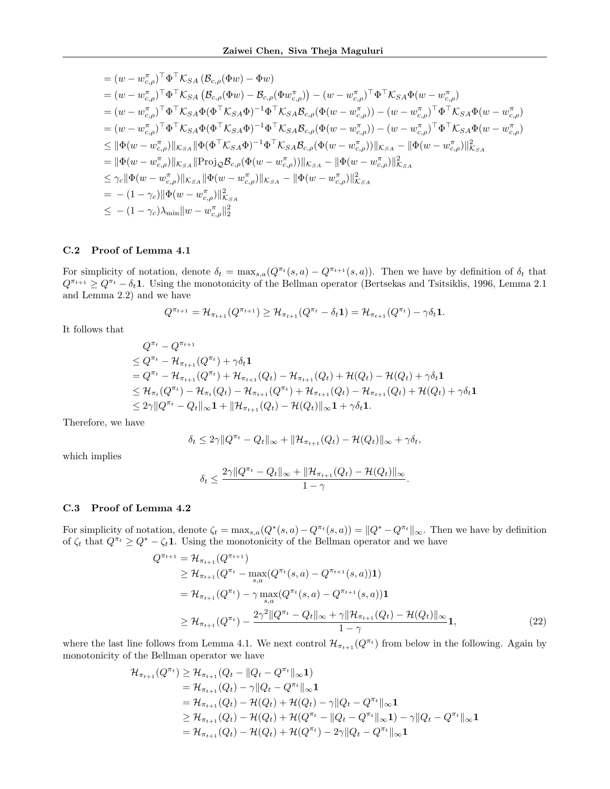$$
= (w - w_{c,\rho}^{\pi})^{\top} \Phi^{\top} \mathcal{K}_{SA} (\mathcal{B}_{c,\rho}(\Phi w) - \Phi w)
$$
  
\n
$$
= (w - w_{c,\rho}^{\pi})^{\top} \Phi^{\top} \mathcal{K}_{SA} (\mathcal{B}_{c,\rho}(\Phi w) - \mathcal{B}_{c,\rho}(\Phi w_{c,\rho}^{\pi})) - (w - w_{c,\rho}^{\pi})^{\top} \Phi^{\top} \mathcal{K}_{SA} \Phi(w - w_{c,\rho}^{\pi}))
$$
  
\n
$$
= (w - w_{c,\rho}^{\pi})^{\top} \Phi^{\top} \mathcal{K}_{SA} \Phi (\Phi^{\top} \mathcal{K}_{SA} \Phi)^{-1} \Phi^{\top} \mathcal{K}_{SA} \mathcal{B}_{c,\rho} (\Phi(w - w_{c,\rho}^{\pi})) - (w - w_{c,\rho}^{\pi})^{\top} \Phi^{\top} \mathcal{K}_{SA} \Phi(w - w_{c,\rho}^{\pi}))
$$
  
\n
$$
= (w - w_{c,\rho}^{\pi})^{\top} \Phi^{\top} \mathcal{K}_{SA} \Phi (\Phi^{\top} \mathcal{K}_{SA} \Phi)^{-1} \Phi^{\top} \mathcal{K}_{SA} \mathcal{B}_{c,\rho} (\Phi(w - w_{c,\rho}^{\pi})) - (w - w_{c,\rho}^{\pi})^{\top} \Phi^{\top} \mathcal{K}_{SA} \Phi(w - w_{c,\rho}^{\pi}))
$$
  
\n
$$
\leq ||\Phi(w - w_{c,\rho}^{\pi})||_{\mathcal{K}_{SA}} ||\Phi(\Phi^{\top} \mathcal{K}_{SA} \Phi)^{-1} \Phi^{\top} \mathcal{K}_{SA} \mathcal{B}_{c,\rho} (\Phi(w - w_{c,\rho}^{\pi})) ||_{\mathcal{K}_{SA}} - ||\Phi(w - w_{c,\rho}^{\pi})||_{\mathcal{K}_{SA}}
$$
  
\n
$$
= ||\Phi(w - w_{c,\rho}^{\pi})||_{\mathcal{K}_{SA}} ||\text{Proj}_{\mathcal{L}_{SA}} \Phi(w - w_{c,\rho}^{\pi})||_{\mathcal{K}_{SA}} - ||\Phi(w - w_{c,\rho}^{\pi})||_{\mathcal{K}_{SA}}
$$
  
\n
$$
\leq \gamma_c ||\Phi(w - w_{c,\rho}^{\pi})||_{\mathcal{K}_{SA}} ||\Phi(w
$$

#### C.2 Proof of Lemma [4.1](#page-8-3)

For simplicity of notation, denote  $\delta_t = \max_{s,a}(Q^{\pi_t}(s,a) - Q^{\pi_{t+1}}(s,a))$ . Then we have by definition of  $\delta_t$  that  $Q^{\pi_{t+1}} \geq Q^{\pi_t} - \delta_t \mathbf{1}$ . Using the monotonicity of the Bellman operator [\(Bertsekas and Tsitsiklis,](#page-9-21) [1996,](#page-9-21) Lemma 2.1) and Lemma 2.2) and we have

$$
Q^{\pi_{t+1}} = \mathcal{H}_{\pi_{t+1}}(Q^{\pi_{t+1}}) \geq \mathcal{H}_{\pi_{t+1}}(Q^{\pi_t} - \delta_t \mathbf{1}) = \mathcal{H}_{\pi_{t+1}}(Q^{\pi_t}) - \gamma \delta_t \mathbf{1}.
$$

It follows that

$$
Q^{\pi_t} - Q^{\pi_{t+1}} \n\leq Q^{\pi_t} - \mathcal{H}_{\pi_{t+1}}(Q^{\pi_t}) + \gamma \delta_t \mathbf{1} \n= Q^{\pi_t} - \mathcal{H}_{\pi_{t+1}}(Q^{\pi_t}) + \mathcal{H}_{\pi_{t+1}}(Q_t) - \mathcal{H}_{\pi_{t+1}}(Q_t) + \mathcal{H}(Q_t) - \mathcal{H}(Q_t) + \gamma \delta_t \mathbf{1} \n\leq \mathcal{H}_{\pi_t}(Q^{\pi_t}) - \mathcal{H}_{\pi_t}(Q_t) - \mathcal{H}_{\pi_{t+1}}(Q^{\pi_t}) + \mathcal{H}_{\pi_{t+1}}(Q_t) - \mathcal{H}_{\pi_{t+1}}(Q_t) + \mathcal{H}(Q_t) + \gamma \delta_t \mathbf{1} \n\leq 2\gamma \|Q^{\pi_t} - Q_t\|_{\infty} \mathbf{1} + \|\mathcal{H}_{\pi_{t+1}}(Q_t) - \mathcal{H}(Q_t)\|_{\infty} \mathbf{1} + \gamma \delta_t \mathbf{1}.
$$

Therefore, we have

$$
\delta_t \leq 2\gamma \|Q^{\pi_t} - Q_t\|_{\infty} + \|\mathcal{H}_{\pi_{t+1}}(Q_t) - \mathcal{H}(Q_t)\|_{\infty} + \gamma \delta_t,
$$

which implies

<span id="page-18-0"></span>
$$
\delta_t \leq \frac{2\gamma \|Q^{\pi_t} - Q_t\|_{\infty} + \|\mathcal{H}_{\pi_{t+1}}(Q_t) - \mathcal{H}(Q_t)\|_{\infty}}{1 - \gamma}.
$$

## C.3 Proof of Lemma [4.2](#page-8-2)

For simplicity of notation, denote  $\zeta_t = \max_{s,a}(Q^*(s,a) - Q^{\pi_t}(s,a)) = ||Q^* - Q^{\pi_t}||_{\infty}$ . Then we have by definition of  $\zeta_t$  that  $Q^{\pi_t} \geq Q^* - \zeta_t \mathbf{1}$ . Using the monotonicity of the Bellman operator and we have

$$
Q^{\pi_{t+1}} = \mathcal{H}_{\pi_{t+1}}(Q^{\pi_{t+1}})
$$
  
\n
$$
\geq \mathcal{H}_{\pi_{t+1}}(Q^{\pi_{t}} - \max_{s,a}(Q^{\pi_{t}}(s,a) - Q^{\pi_{t+1}}(s,a))\mathbf{1})
$$
  
\n
$$
= \mathcal{H}_{\pi_{t+1}}(Q^{\pi_{t}}) - \gamma \max_{s,a}(Q^{\pi_{t}}(s,a) - Q^{\pi_{t+1}}(s,a))\mathbf{1}
$$
  
\n
$$
\geq \mathcal{H}_{\pi_{t+1}}(Q^{\pi_{t}}) - \frac{2\gamma^{2}||Q^{\pi_{t}} - Q_{t}||_{\infty} + \gamma ||\mathcal{H}_{\pi_{t+1}}(Q_{t}) - \mathcal{H}(Q_{t})||_{\infty}}{1 - \gamma} \mathbf{1},
$$
\n(22)

where the last line follows from Lemma [4.1.](#page-8-3) We next control  $\mathcal{H}_{\pi_{t+1}}(Q^{\pi_t})$  from below in the following. Again by monotonicity of the Bellman operator we have

$$
\mathcal{H}_{\pi_{t+1}}(Q^{\pi_t}) \geq \mathcal{H}_{\pi_{t+1}}(Q_t - ||Q_t - Q^{\pi_t}||_{\infty} \mathbf{1})
$$
  
\n=  $\mathcal{H}_{\pi_{t+1}}(Q_t) - \gamma ||Q_t - Q^{\pi_t}||_{\infty} \mathbf{1}$   
\n=  $\mathcal{H}_{\pi_{t+1}}(Q_t) - \mathcal{H}(Q_t) + \mathcal{H}(Q_t) - \gamma ||Q_t - Q^{\pi_t}||_{\infty} \mathbf{1}$   
\n $\geq \mathcal{H}_{\pi_{t+1}}(Q_t) - \mathcal{H}(Q_t) + \mathcal{H}(Q^{\pi_t} - ||Q_t - Q^{\pi_t}||_{\infty} \mathbf{1}) - \gamma ||Q_t - Q^{\pi_t}||_{\infty} \mathbf{1}$   
\n=  $\mathcal{H}_{\pi_{t+1}}(Q_t) - \mathcal{H}(Q_t) + \mathcal{H}(Q^{\pi_t}) - 2\gamma ||Q_t - Q^{\pi_t}||_{\infty} \mathbf{1}$